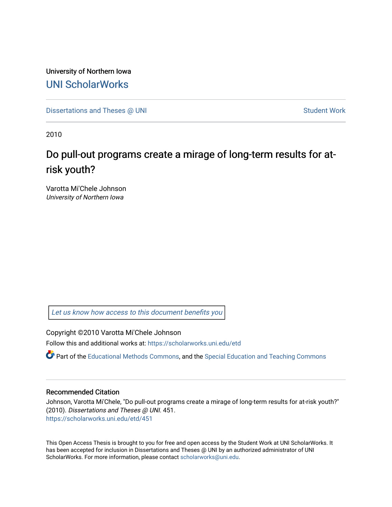University of Northern Iowa [UNI ScholarWorks](https://scholarworks.uni.edu/) 

[Dissertations and Theses @ UNI](https://scholarworks.uni.edu/etd) Student Work

2010

# Do pull-out programs create a mirage of long-term results for atrisk youth?

Varotta Mi'Chele Johnson University of Northern Iowa

[Let us know how access to this document benefits you](https://scholarworks.uni.edu/feedback_form.html) 

Copyright ©2010 Varotta Mi'Chele Johnson

Follow this and additional works at: [https://scholarworks.uni.edu/etd](https://scholarworks.uni.edu/etd?utm_source=scholarworks.uni.edu%2Fetd%2F451&utm_medium=PDF&utm_campaign=PDFCoverPages) 

Part of the [Educational Methods Commons,](http://network.bepress.com/hgg/discipline/1227?utm_source=scholarworks.uni.edu%2Fetd%2F451&utm_medium=PDF&utm_campaign=PDFCoverPages) and the [Special Education and Teaching Commons](http://network.bepress.com/hgg/discipline/801?utm_source=scholarworks.uni.edu%2Fetd%2F451&utm_medium=PDF&utm_campaign=PDFCoverPages) 

### Recommended Citation

Johnson, Varotta Mi'Chele, "Do pull-out programs create a mirage of long-term results for at-risk youth?" (2010). Dissertations and Theses @ UNI. 451. [https://scholarworks.uni.edu/etd/451](https://scholarworks.uni.edu/etd/451?utm_source=scholarworks.uni.edu%2Fetd%2F451&utm_medium=PDF&utm_campaign=PDFCoverPages) 

This Open Access Thesis is brought to you for free and open access by the Student Work at UNI ScholarWorks. It has been accepted for inclusion in Dissertations and Theses @ UNI by an authorized administrator of UNI ScholarWorks. For more information, please contact [scholarworks@uni.edu](mailto:scholarworks@uni.edu).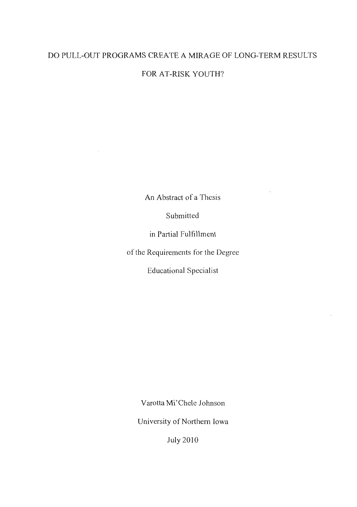# DO PULL-OUT PROGRAMS CREATE A MIRAGE OF LONG-TERM RESULTS

FOR AT-RISK YOUTH?

An Abstract of a Thesis

Submitted

in Partial Fulfillment

of the Requirements for the Degree

Educational Specialist

Varotta Mi'Chele Johnson

University of Northern Iowa

July2010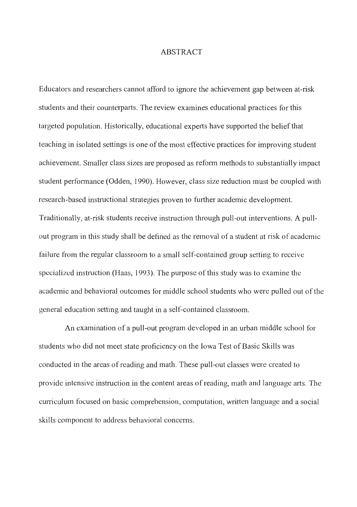### ABSTRACT

Educators and researchers cannot afford to ignore the achievement gap between at-risk students and their counterparts. The review examines educational practices for this targeted population. Historically, educational experts have supported the belief that teaching in isolated settings is one of the most effective practices for improving student achievement. Smaller class sizes are proposed as reform methods to substantially impact student performance (Odden, 1990). However, class size reduction must be coupled with research-based instructional strategies proven to further academic development. Traditionally, at-risk students receive instruction through pull-out interventions. A pullout program in this study shall be defined as the removal of a student at risk of academic failure from the regular classroom to a small self-contained group setting to receive specialized instruction (Haas, 1993). The purpose of this study was to examine the academic and behavioral outcomes for middle school students who were pulled out of the general education setting and taught in a self-contained classroom.

An examination of a pull-out program developed in an urban middle school for students who did not meet state proficiency on the Iowa Test of Basic Skills was conducted in the areas of reading and math. These pull-out classes were created to provide intensive instruction in the content areas of reading, math and language arts. The curriculum focused on basic comprehension, computation, written language and a social skills component to address behavioral concerns.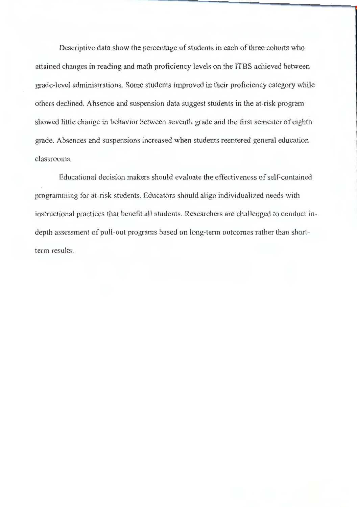Descriptive data show the percentage of students in each of three cohorts who attained changes in reading and math proficiency levels on the ITBS achieved between grade-level administrations. Some students improved in their proficiency category while others declined. Absence and suspension data suggest students in the at-risk program showed little change in behavior between seventh grade and the first semester of eighth grade. Absences and suspensions increased when students reentered general education classrooms.

Educational decision makers should evaluate the effectiveness of self-contained programming for at-risk students. Educators should align individualized needs with instructional practices that benefit all students. Researchers are challenged to conduct indepth assessment of pull-out programs based on long-term outcomes rather than shortterm results.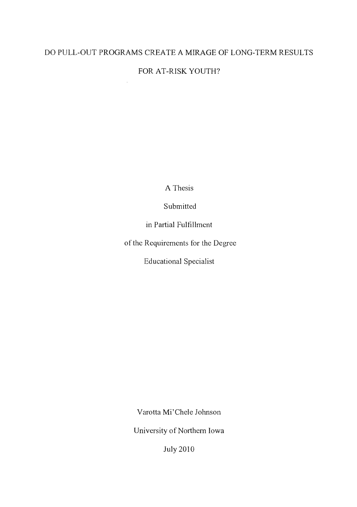# DO PULL-OUT PROGRAMS CREATE A MIRAGE OF LONG-TERM RESULTS

# FOR AT-RISK YOUTH?

 $\ddot{\phantom{a}}$ 

A Thesis

Submitted

in Partial Fulfillment

of the Requirements for the Degree

Educational Specialist

Varotta Mi'Chele Johnson

University of Northern Iowa

July 2010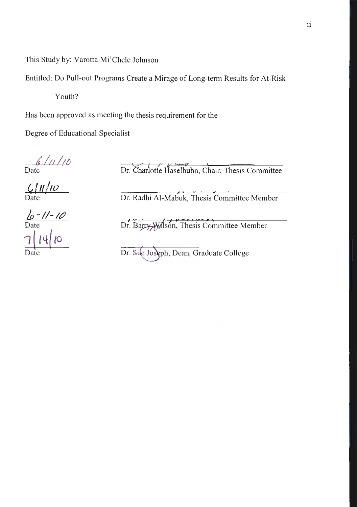This Study by: Varotta Mi 'Chele Johnson

Entitled: Do Pull-out Programs Create a Mirage of Long-term Results for At-Risk

Youth?

Has been approved as meeting the thesis requirement for the

Degree of Educational Specialist

*tlo/;JJ*  Date

Dr. Charlotte Haselhuhm, Chair, Thesis Committee

*Ct [11 j,o* 

Dr. Radhi Al-Mabuk, Thesis Committee Member

*/p* -*I/-/?)*  Date<br>7 **| 14 | 1**0 Date

Dr. Barry Wilson, Thesis Committee Member

Dr. Sue Joseph, Dean, Graduate College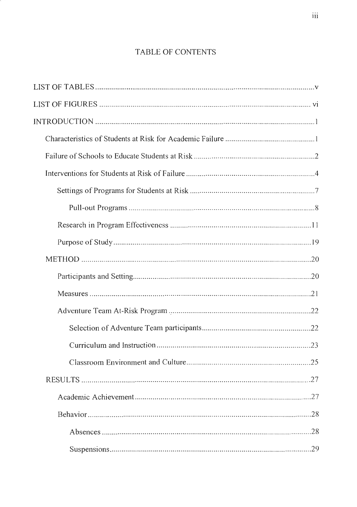# TABLE OF CONTENTS

| .28 |
|-----|
|     |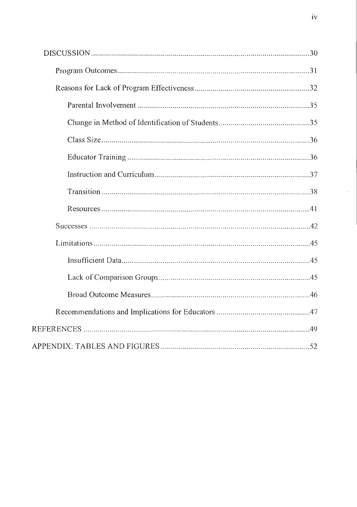$\epsilon$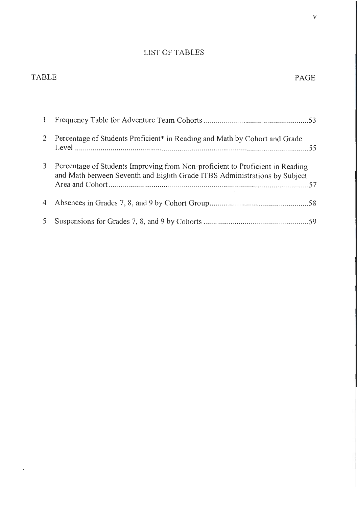# LIST OF TABLES

# TABLE PAGE

 $\mathbf{v}$  .

| 2           | Percentage of Students Proficient* in Reading and Math by Cohort and Grade                                                                                 |  |
|-------------|------------------------------------------------------------------------------------------------------------------------------------------------------------|--|
| 3           | Percentage of Students Improving from Non-proficient to Proficient in Reading<br>and Math between Seventh and Eighth Grade ITBS Administrations by Subject |  |
| 4           |                                                                                                                                                            |  |
| $5^{\circ}$ |                                                                                                                                                            |  |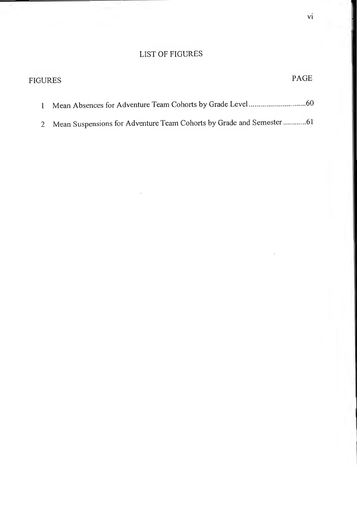# LIST OF FIGURES

| FIGURES | PAGE |
|---------|------|
|         |      |
|         |      |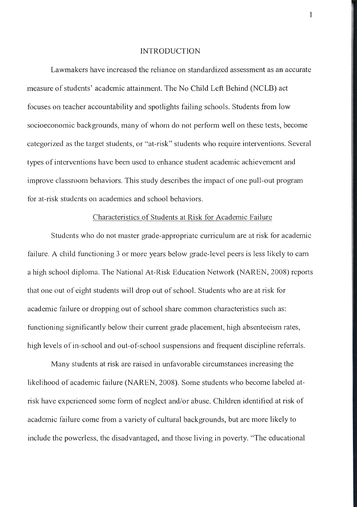#### INTRODUCTION

Lawmakers have increased the reliance on standardized assessment as an accurate measure of students' academic attainment. The No Child Left Behind (NCLB) act focuses on teacher accountability and spotlights failing schools. Students from low socioeconomic backgrounds, many of whom do not perform well on these tests, become categorized as the target students, or "at-risk" students who require interventions. Several types of interventions have been used to enhance student academic achievement and improve classroom behaviors. This study describes the impact of one pull-out program for at-risk students on academics and school behaviors.

### Characteristics of Students at Risk for Academic Failure

Students who do not master grade-appropriate curriculum are at risk for academic failure. A child functioning 3 or more years below grade-level peers is less likely to earn a high school diploma. The National At-Risk Education Network (NAREN, 2008) reports that one out of eight students will drop out of school. Students who are at risk for academic failure or dropping out of school share common characteristics such as: functioning significantly below their current grade placement, high absenteeism rates, high levels of in-school and out-of-school suspensions and frequent discipline referrals.

Many students at risk are raised in unfavorable circumstances increasing the likelihood of academic failure (NAREN, 2008). Some students who become labeled atrisk have experienced some form of neglect and/or abuse. Children identified at risk of academic failure come from a variety of cultural backgrounds, but are more likely to include the powerless, the disadvantaged, and those living in poverty. "The educational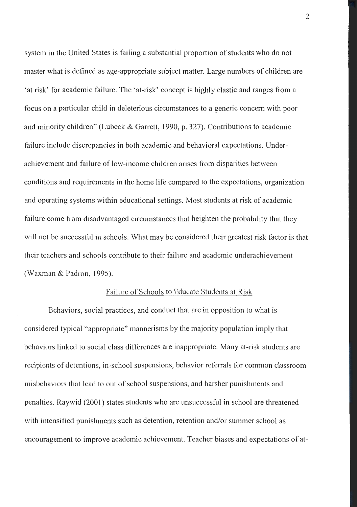system in the United States is failing a substantial proportion of students who do not master what is defined as age-appropriate subject matter. Large numbers of children are 'at risk' for academic failure. The 'at-risk' concept is highly elastic and ranges from a focus on a particular child in deleterious circumstances to a generic concern with poor and minority children" (Lubeck & Garrett, 1990, p. 327). Contributions to academic failure include discrepancies in both academic and behavioral expectations. Underachievement and failure of low-income children arises from disparities between conditions and requirements in the home life compared to the expectations, organization and operating systems within educational settings. Most students at risk of academic failure come from disadvantaged circumstances that heighten the probability that they will not be successful in schools. What may be considered their greatest risk factor is that their teachers and schools contribute to their failure and academic underachievement (Waxman & Padron, 1995).

#### Failure of Schools to Educate Students at Risk

Behaviors, social practices, and conduct that are in opposition to what is considered typical "appropriate" mannerisms by the majority population imply that behaviors linked to social class differences are inappropriate. Many at-risk students are recipients of detentions, in-school suspensions, behavior referrals for common classroom misbehaviors that lead to out of school suspensions, and harsher punishments and penalties. Raywid (2001) states students who are unsuccessful in school are threatened with intensified punishments such as detention, retention and/or summer school as encouragement to improve academic achievement. Teacher biases and expectations of at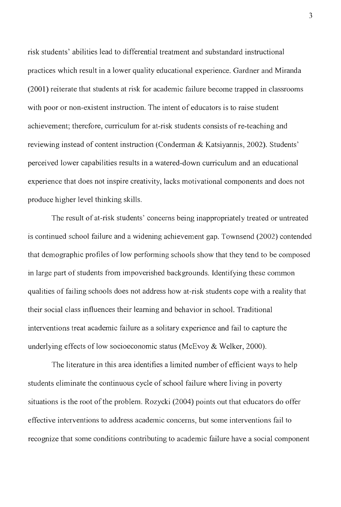risk students' abilities lead to differential treatment and substandard instructional practices which result in a lower quality educational experience. Gardner and Miranda (2001) reiterate that students at risk for academic failure become trapped in classrooms with poor or non-existent instruction. The intent of educators is to raise student achievement; therefore, curriculum for at-risk students consists of re-teaching and reviewing instead of content instruction (Conderman & Katsiyannis, 2002). Students' perceived lower capabilities results in a watered-down curriculum and an educational experience that does not inspire creativity, lacks motivational components and does not produce higher level thinking skills.

The result of at-risk students' concerns being inappropriately treated or untreated is continued school failure and a widening achievement gap. Townsend (2002) contended that demographic profiles of low performing schools show that they tend to be composed in large part of students from impoverished backgrounds. Identifying these common qualities of failing schools does not address how at-risk students cope with a reality that their social class influences their learning and behavior in school. Traditional interventions treat academic failure as a solitary experience and fail to capture the underlying effects of low socioeconomic status (McEvoy & Welker, 2000).

The literature in this area identifies a limited number of efficient ways to help students eliminate the continuous cycle of school failure where living in poverty situations is the root of the problem. Rozycki (2004) points out that educators do offer effective interventions to address academic concerns, but some interventions fail to recognize that some conditions contributing to academic failure have a social component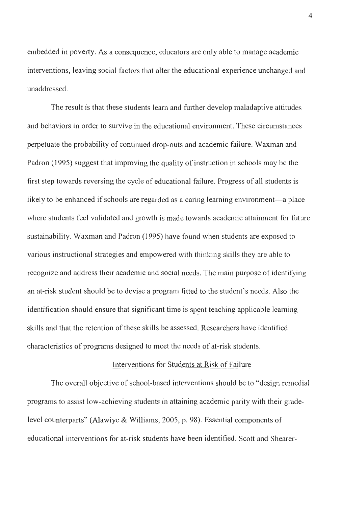embedded in poverty. As a consequence, educators are only able to manage academic interventions, leaving social factors that alter the educational experience unchanged and unaddressed.

The result is that these students learn and further develop maladaptive attitudes and behaviors in order to survive in the educational environment. These circumstances perpetuate the probability of continued drop-outs and academic failure. Waxman and Padron (1995) suggest that improving the quality of instruction in schools may be the first step towards reversing the cycle of educational failure. Progress of all students is likely to be enhanced if schools are regarded as a caring learning environment—a place where students feel validated and growth is made towards academic attainment for future sustainability. Waxman and Padron (1995) have found when students are exposed to various instructional strategies and empowered with thinking skills they are able to recognize and address their academic and social needs. The main purpose of identifying an at-risk student should be to devise a program fitted to the student's needs. Also the identification should ensure that significant time is spent teaching applicable learning skills and that the retention of these skills be assessed. Researchers have identified characteristics of programs designed to meet the needs of at-risk students.

#### Interventions for Students at Risk of Failure

The overall objective of school-based interventions should be to "design remedial" programs to assist low-achieving students in attaining academic parity with their gradelevel counterparts" (Alawiye & Williams, 2005, p. 98). Essential components of educational interventions for at-risk students have been identified. Scott and Shearer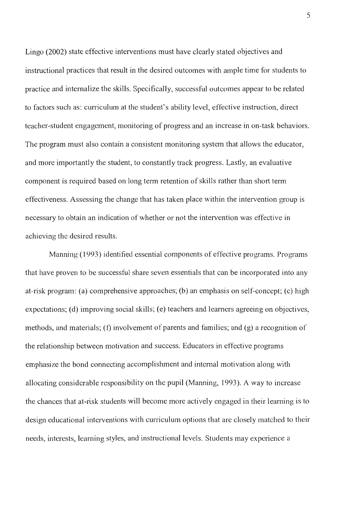Lingo (2002) state effective interventions must have clearly stated objectives and instructional practices that result in the desired outcomes with ample time for students to practice and internalize the skills. Specifically, successful outcomes appear to be related to factors such as: curriculum at the student's ability level, effective instruction, direct teacher-student engagement, monitoring of progress and an increase in on-task behaviors. The program must also contain a consistent monitoring system that allows the educator, and more importantly the student, to constantly track progress. Lastly, an evaluative component is required based on long term retention of skills rather than short term effectiveness. Assessing the change that has taken place within the intervention group is necessary to obtain an indication of whether or not the intervention was effective in achieving the desired results.

Manning (1993) identified essential components of effective programs. Programs that have proven to be successful share seven essentials that can be incorporated into any at-risk program: (a) comprehensive approaches; (b) an emphasis on self-concept; (c) high expectations; (d) improving social skills; (e) teachers and learners agreeing on objectives, methods, and materials; (f) involvement of parents and families; and (g) a recognition of the relationship between motivation and success. Educators in effective programs emphasize the bond connecting accomplishment and internal motivation along with allocating considerable responsibility on the pupil (Manning, 1993). A way to increase the chances that at-risk students will become more actively engaged in their learning is to design educational interventions with curriculum options that are closely matched to their needs, interests, learning styles, and instructional levels. Students may experience a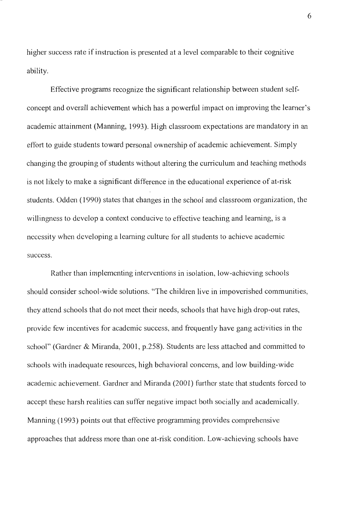higher success rate if instruction is presented at a level comparable to their cognitive ability.

Effective programs recognize the significant relationship between student selfconcept and overall achievement which has a powerful impact on improving the learner's academic attainment (Manning, 1993). High classroom expectations are mandatory in an effort to guide students toward personal ownership of academic achievement. Simply changing the grouping of students without altering the curriculum and teaching methods is not likely to make a significant difference in the educational experience of at-risk students. Odden ( 1990) states that changes in the school and classroom organization, the willingness to develop a context conducive to effective teaching and learning, is a necessity when developing a learning culture for all students to achieve academic success.

Rather than implementing interventions in isolation, low-achieving schools should consider school-wide solutions. "The children live in impoverished communities, they attend schools that do not meet their needs, schools that have high drop-out rates, provide few incentives for academic success, and frequently have gang activities in the school" (Gardner & Miranda, 2001, p.258). Students are less attached and committed to schools with inadequate resources, high behavioral concerns, and low building-wide academic achievement. Gardner and Miranda (2001) further state that students forced to accept these harsh realities can suffer negative impact both socially and academically. Manning (1993) points out that effective programming provides comprehensive approaches that address more than one at-risk condition. Low-achieving schools have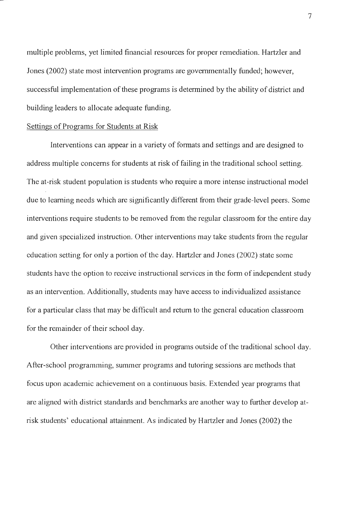multiple problems, yet limited financial resources for proper remediation. Hartzler and Jones (2002) state most intervention programs are governmentally funded; however, successful implementation of these programs is determined by the ability of district and building leaders to allocate adequate funding.

### Settings of Programs for Students at Risk

Interventions can appear in a variety of formats and settings and are designed to address multiple concerns for students at risk of failing in the traditional school setting. The at-risk student population is students who require a more intense instructional model due to learning needs which are significantly different from their grade-level peers. Some interventions require students to be removed from the regular classroom for the entire day and given specialized instruction. Other interventions may take students from the regular education setting for only a portion of the day. Hartzler and Jones (2002) state some students have the option to receive instructional services in the form of independent study as an intervention. Additionally, students may have access to individualized assistance for a particular class that may be difficult and return to the general education classroom for the remainder of their school day.

Other interventions are provided in programs outside of the traditional school day. After-school programming, summer programs and tutoring sessions are methods that focus upon academic achievement on a continuous basis. Extended year programs that are aligned with district standards and benchmarks are another way to further develop atrisk students' educational attainment. As indicated by Hartzler and Jones (2002) the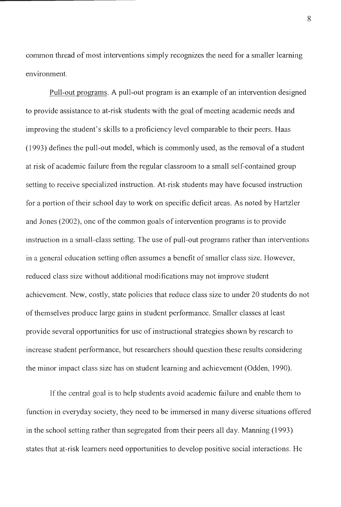common thread of most interventions simply recognizes the need for a smaller learning environment.

Pull-out programs. A pull-out program is an example of an intervention designed to provide assistance to at-risk students with the goal of meeting academic needs and improving the student's skills to a proficiency level comparable to their peers. Haas ( 1993) defines the pull-out model, which is commonly used, as the removal of a student at risk of academic failure from the regular classroom to a small self-contained group setting to receive specialized instruction. At-risk students may have focused instruction for a portion of their school day to work on specific deficit areas. As noted by Hartzler and Jones (2002), one of the common goals of intervention programs is to provide instruction in a small-class setting. The use of pull-out programs rather than interventions in a general education setting often assumes a benefit of smaller class size. However, reduced class size without additional modifications may not improve student achievement. New, costly, state policies that reduce class size to under 20 students do not of themselves produce large gains in student performance. Smaller classes at least provide several opportunities for use of instructional strategies shown by research to increase student performance, but researchers should question these results considering the minor impact class size has on student learning and achievement (Odden, 1990).

If the central goal is to help students avoid academic failure and enable them to function in everyday society, they need to be immersed in many diverse situations offered in the school setting rather than segregated from their peers all day. Manning (1993) states that at-risk learners need opportunities to develop positive social interactions. He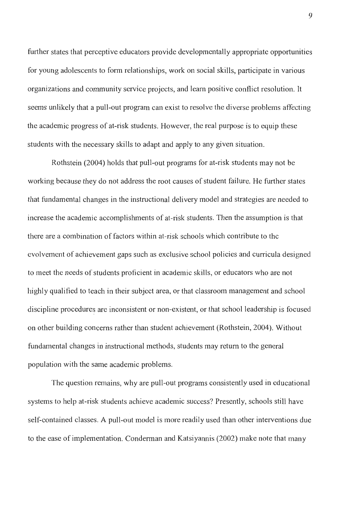further states that perceptive educators provide developmentally appropriate opportunities for young adolescents to form relationships, work on social skills, participate in various organizations and community service projects, and learn positive conflict resolution. It seems unlikely that a pull-out program can exist to resolve the diverse problems affecting the academic progress of at-risk students. However, the real purpose is to equip these students with the necessary skills to adapt and apply to any given situation.

Rothstein (2004) holds that pull-out programs for at-risk students may not be working because they do not address the root causes of student failure. He further states that fundamental changes in the instructional delivery model and strategies are needed to increase the academic accomplishments of at-risk students. Then the assumption is that there are a combination of factors within at-risk schools which contribute to the evolvement of achievement gaps such as exclusive school policies and curricula designed to meet the needs of students proficient in academic skills, or educators who are not highly qualified to teach in their subject area, or that classroom management and school discipline procedures are inconsistent or non-existent, or that school leadership is focused on other building concerns rather than student achievement (Rothstein, 2004). Without fundamental changes in instructional methods, students may return to the general population with the same academic problems.

The question remains, why are pull-out programs consistently used in educational systems to help at-risk students achieve academic success? Presently, schools still have self-contained classes. A pull-out model is more readily used than other interventions due to the ease of implementation. Conderman and Katsiyannis (2002) make note that many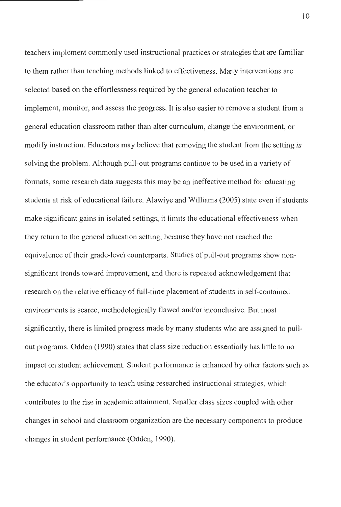teachers implement commonly used instructional practices or strategies that are familiar to them rather than teaching methods linked to effectiveness. Many interventions are selected based on the effortlessness required by the general education teacher to implement, monitor, and assess the progress. It is also easier to remove a student from a general education classroom rather than alter curriculum, change the environment, or modify instruction. Educators may believe that removing the student from the setting is solving the problem. Although pull-out programs continue to be used in a variety of formats, some research data suggests this may be an ineffective method for educating students at risk of educational failure. Alawiye and Williams (2005) state even if students make significant gains in isolated settings, it limits the educational effectiveness when they return to the general education setting, because they have not reached the equivalence of their grade-level counterparts. Studies of pull-out programs show nonsignificant trends toward improvement, and there is repeated acknowledgement that research on the relative efficacy of full-time placement of students in self-contained environments is scarce, methodologically flawed and/or inconclusive. But most significantly, there is limited progress made by many students who are assigned to pullout programs. Odden ( 1990) states that class size reduction essentially has little to no impact on student achievement. Student performance is enhanced by other factors such as the educator's opportunity to teach using researched instructional strategies, which contributes to the rise in academic attainment. Smaller class sizes coupled with other changes in school and classroom organization are the necessary components to produce changes in student performance (Odden, 1990).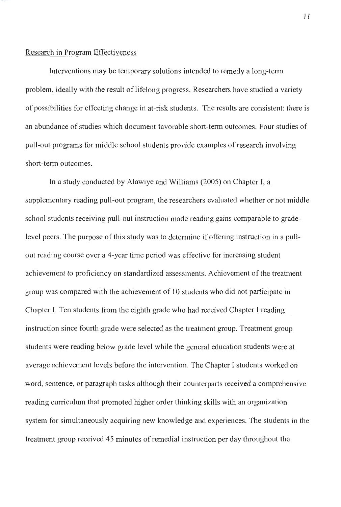#### Research in Program Effectiveness

Interventions may be temporary solutions intended to remedy a long-term problem, ideally with the result of lifelong progress. Researchers have studied a variety of possibilities for effecting change in at-risk students. The results are consistent: there is an abundance of studies which document favorable short-term outcomes. Four studies of pull-out programs for middle school students provide examples of research involving short-term outcomes.

In a study conducted by Alawiye and Williams (2005) on Chapter I, a supplementary reading pull-out program, the researchers evaluated whether or not middle school students receiving pull-out instruction made reading gains comparable to gradelevel peers. The purpose of this study was to determine if offering instruction in a pullout reading course over a 4-year time period was effective for increasing student achievement to proficiency on standardized assessments. Achievement of the treatment group was compared with the achievement of IO students who did not participate in Chapter I. Ten students from the eighth grade who had received Chapter I reading instruction since fourth grade were selected as the treatment group. Treatment group students were reading below grade level while the general education students were at average achievement levels before the intervention. The Chapter I students worked on word, sentence, or paragraph tasks although their counterparts received a comprehensive reading curriculum that promoted higher order thinking skills with an organization system for simultaneously acquiring new knowledge and experiences. The students in the treatment group received 45 minutes of remedial instruction per day throughout the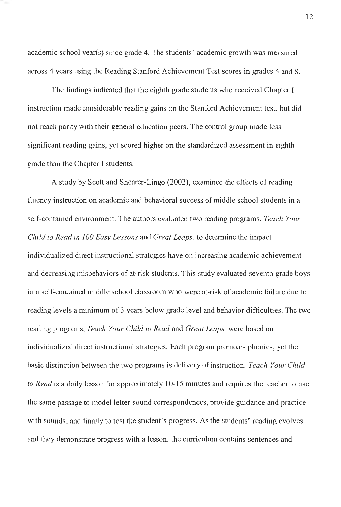academic school year(s) since grade 4. The students' academic growth was measured across 4 years using the Reading Stanford Achievement Test scores in grades 4 and 8.

The findings indicated that the eighth grade students who received Chapter I instruction made considerable reading gains on the Stanford Achievement test, but did not reach parity with their general education peers. The control group made less significant reading gains, yet scored higher on the standardized assessment in eighth grade than the Chapter I students.

A study by Scott and Shearer-Lingo (2002), examined the effects of reading fluency instruction on academic and behavioral success of middle school students in a self-contained environment. The authors evaluated two reading programs, *Teach Your Child to Read in 100 Easy Lessons* and *Great Leaps,* to determine the impact individualized direct instructional strategies have on increasing academic achievement and decreasing misbehaviors of at-risk students. This study evaluated seventh grade boys in a self-contained middle school classroom who were at-risk of academic failure due to reading levels a minimum of 3 years below grade level and behavior difficulties. The two reading programs, *Teach Your Child to Read* and *Great Leaps,* were based on individualized direct instructional strategies. Each program promotes phonics, yet the basic distinction between the two programs is deli very of instruction. *Teach Your Child to Read* is a daily lesson for approximately 10-15 minutes and requires the teacher to use the same passage to model letter-sound correspondences, provide guidance and practice with sounds, and finally to test the student's progress. As the students' reading evolves and they demonstrate progress with a lesson, the curriculum contains sentences and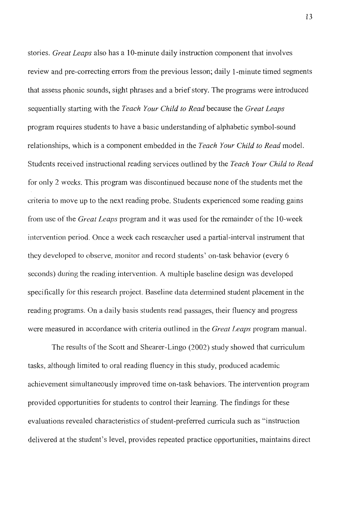stories. *Great Leaps* also has a 10-minute daily instruction component that involves review and pre-correcting errors from the previous lesson; daily I-minute timed segments that assess phonic sounds, sight phrases and a brief story. The programs were introduced sequentially starting with the *Teach Your Child to Read* because the *Great Leaps*  program requires students to have a basic understanding of alphabetic symbol-sound relationships, which is a component embedded in the *Teach Your Child to Read* model. Students received instructional reading services outlined by the *Teach Your Child to Read*  for only 2 weeks. This program was discontinued because none of the students met the criteria to move up to the next reading probe. Students experienced some reading gains from use of the *Great Leaps* program and it was used for the remainder of the I 0-week intervention period. Once a week each researcher used a partial-interval instrument that they developed to observe, monitor and record students' on-task behavior ( every 6 seconds) during the reading intervention. A multiple baseline design was developed specifically for this research project. Baseline data determined student placement in the reading programs. On a daily basis students read passages, their fluency and progress were measured in accordance with criteria outlined in the *Great Leaps* program manual.

The results of the Scott and Shearer-Lingo (2002) study showed that curriculum tasks, although limited to oral reading fluency in this study, produced academic achievement simultaneously improved time on-task behaviors. The intervention program provided opportunities for students to control their learning. The findings for these evaluations revealed characteristics of student-preferred curricula such as "instruction delivered at the student's level, provides repeated practice opportunities, maintains direct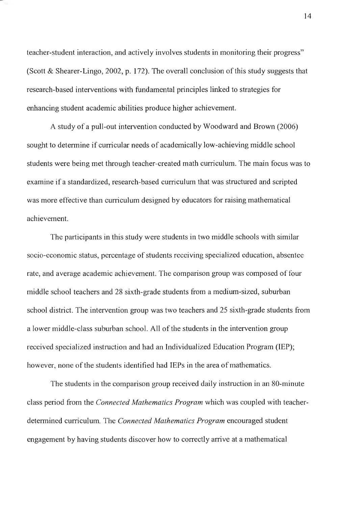teacher-student interaction, and actively involves students in monitoring their progress" (Scott & Shearer-Lingo, 2002, p. 172). The overall conclusion of this study suggests that research-based interventions with fundamental principles linked to strategies for enhancing student academic abilities produce higher achievement.

A study of a pull-out intervention conducted by Woodward and Brown (2006) sought to detennine if curricular needs of academically low-achieving middle school students were being met through teacher-created math curriculum. The main focus was to examine if a standardized, research-based curriculum that was structured and scripted was more effective than curriculum designed by educators for raising mathematical achievement.

The participants in this study were students in two middle schools with similar socio-economic status, percentage of students receiving specialized education, absentee rate, and average academic achievement. The comparison group was composed of four middle school teachers and 28 sixth-grade students from a medium-sized, suburban school district. The intervention group was two teachers and 25 sixth-grade students from a lower middle-class suburban school. All of the students in the intervention group received specialized instruction and had an Individualized Education Program (IEP); however, none of the students identified had IEPs in the area of mathematics.

The students in the comparison group received daily instruction in an 80-minute class period from the *Connected Mathematics Program* which was coupled with teacherdetermined curriculum. The *Connected Mathematics Program* encouraged student engagement by having students discover how to correctly arrive at a mathematical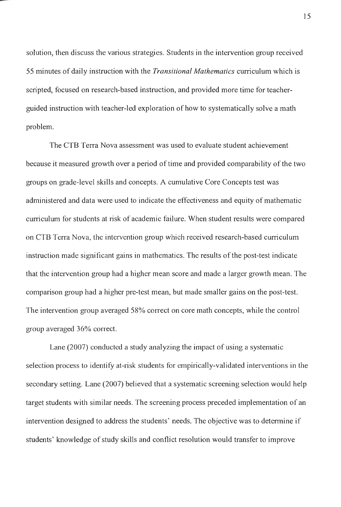solution, then discuss the various strategies. Students in the intervention group received 55 minutes of daily instruction with the *Transitional Mathematics* curriculum which is scripted, focused on research-based instruction, and provided more time for teacherguided instruction with teacher-led exploration of how to systematically solve a math problem.

The CTB Terra Nova assessment was used to evaluate student achievement because it measured growth over a period of time and provided comparability of the two groups on grade-level skills and concepts. A cumulative Core Concepts test was administered and data were used to indicate the effectiveness and equity of mathematic curriculum for students at risk of academic failure. When student results were compared on CTB Terra Nova, the intervention group which received research-based curriculum instruction made significant gains in mathematics. The results of the post-test indicate that the intervention group had a higher mean score and made a larger growth mean. The comparison group had a higher pre-test mean, but made smaller gains on the post-test. The intervention group averaged 58% correct on core math concepts, while the control group averaged 36% correct.

Lane (2007) conducted a study analyzing the impact of using a systematic selection process to identify at-risk students for empirically-validated interventions in the secondary setting. Lane (2007) believed that a systematic screening selection would help target students with similar needs. The screening process preceded implementation of an intervention designed to address the students' needs. The objective was to determine if students' knowledge of study skills and conflict resolution would transfer to improve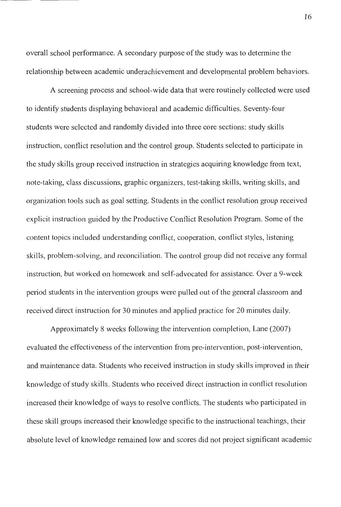overall school performance. A secondary purpose of the study was to determine the relationship between academic underachievement and developmental problem behaviors.

A screening process and school-wide data that were routinely collected were used to identify students displaying behavioral and academic difficulties. Seventy-four students were selected and randomly divided into three core sections: study skills instruction, conflict resolution and the control group. Students selected to participate in the study skills group received instruction in strategies acquiring knowledge from text, note-taking, class discussions, graphic organizers, test-taking skills, writing skills, and organization tools such as goal setting. Students in the conflict resolution group received explicit instruction guided by the Productive Conflict Resolution Program. Some of the content topics included understanding conflict, cooperation, conflict styles, listening skills, problem-solving, and reconciliation. The control group did not receive any formal instruction, but worked on homework and self-advocated for assistance. Over a 9-week period students in the intervention groups were pulled out of the general classroom and received direct instruction for 30 minutes and applied practice for 20 minutes daily.

Approximately 8 weeks following the intervention completion, Lane (2007) evaluated the effectiveness of the intervention from pre-intervention, post-intervention, and maintenance data. Students who received instruction in study skills improved in their knowledge of study skills. Students who received direct instruction in conflict resolution increased their knowledge of ways to resolve conflicts. The students who participated in these skill groups increased their knowledge specific to the instructional teachings, their absolute level of knowledge remained low and scores did not project significant academic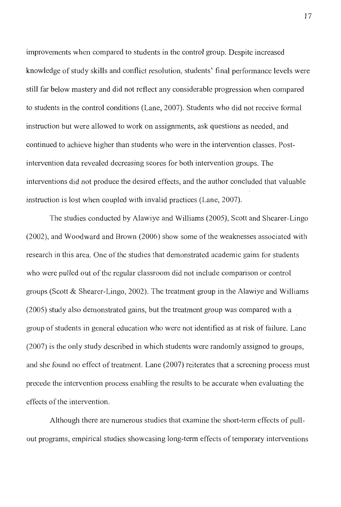improvements when compared to students in the control group. Despite increased knowledge of study skills and conflict resolution, students' final performance levels were still far below mastery and did not reflect any considerable progression when compared to students in the control conditions (Lane, 2007). Students who did not receive formal instruction but were allowed to work on assignments, ask questions as needed, and continued to achieve higher than students who were in the intervention classes. Postintervention data revealed decreasing scores for both intervention groups. The interventions did not produce the desired effects, and the author concluded that valuable instruction is lost when coupled with invalid practices (Lane, 2007).

The studies conducted by Alawiye and Williams (2005), Scott and Shearer-Lingo (2002), and Woodward and Brown (2006) show some of the weaknesses associated with research in this area. One of the studies that demonstrated academic gains for students who were pulled out of the regular classroom did not include comparison or control groups (Scott  $\&$  Shearer-Lingo, 2002). The treatment group in the Alawiye and Williams (2005) study also demonstrated gains, but the treatment group was compared with a group of students in general education who were not identified as at risk of failure. Lane (2007) is the only study described in which students were randomly assigned to groups, and she found no effect of treatment. Lane (2007) reiterates that a screening process must precede the intervention process enabling the results to be accurate when evaluating the effects of the intervention.

Although there are numerous studies that examine the short-term effects of pullout programs, empirical studies showcasing long-term effects of temporary interventions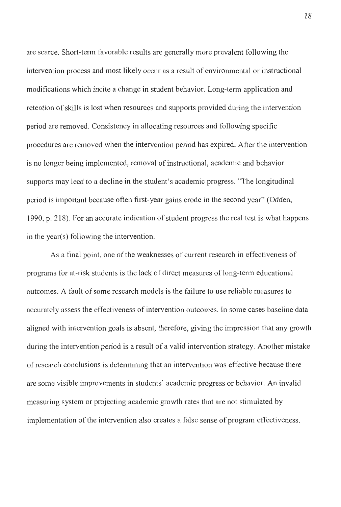are scarce. Short-term favorable results are generally more prevalent following the intervention process and most likely occur as a result of environmental or instructional modifications which incite a change in student behavior. Long-term application and retention of skills is lost when resources and supports provided during the intervention period are removed. Consistency in allocating resources and following specific procedures are removed when the intervention period has expired. After the intervention is no longer being implemented, removal of instructional, academic and behavior supports may lead to a decline in the student's academic progress. "The longitudinal period is important because often first-year gains erode in the second year" (Odden, 1990, p. 2 18). For an accurate indication of student progress the real test is what happens in the year(s) following the intervention.

As a final point, one of the weaknesses of current research in effectiveness of programs for at-risk students is the lack of direct measures of long-term educational outcomes. A fault of some research models is the failure to use reliable measures to accurately assess the effectiveness of intervention outcomes. In some cases baseline data aligned with intervention goals is absent, therefore, giving the impression that any growth during the intervention period is a result of a valid intervention strategy. Another mistake of research conclusions is determining that an intervention was effective because there are some visible improvements in students' academic progress or behavior. An invalid measuring system or projecting academic growth rates that are not stimulated by implementation of the intervention also creates a false sense of program effectiveness.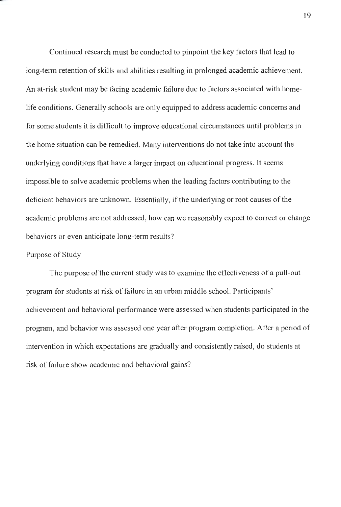Continued research must be conducted to pinpoint the key factors that lead to long-term retention of skills and abilities resulting in prolonged academic achievement. An at-risk student may be facing academic failure due to factors associated with homelife conditions. Generally schools are only equipped to address academic concerns and for some students it is difficult to improve educational circumstances until problems in the home situation can be remedied. Many interventions do not take into account the underlying conditions that have a larger impact on educational progress. It seems impossible to solve academic problems when the leading factors contributing to the deficient behaviors are unknown. Essentially, if the underlying or root causes of the academic problems are not addressed, how can we reasonably expect to correct or change behaviors or even anticipate long-term results?

### Purpose of Study

The purpose of the current study was to examine the effectiveness of a pull-out program for students at risk of failure in an urban middle school. Participants' achievement and behavioral perfonnance were assessed when students participated in the program, and behavior was assessed one year after program completion. After a period of intervention in which expectations are gradually and consistently raised, do students at risk of failure show academic and behavioral gains?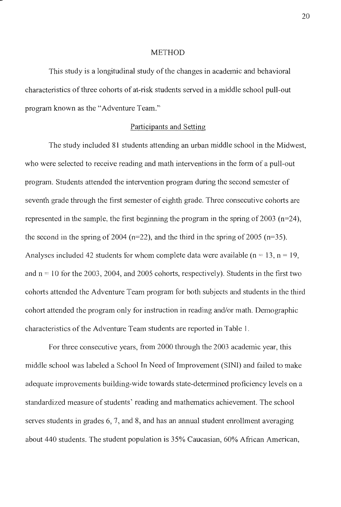#### **METHOD**

This study is a longitudinal study of the changes in academic and behavioral characteristics of three cohorts of at-risk students served in a middle school pull-out program known as the "Adventure Team."

#### Participants and Setting

The study included 81 students attending an urban middle school in the Midwest, who were selected to receive reading and math interventions in the form of a pull-out program. Students attended the intervention program during the second semester of seventh grade through the first semester of eighth grade. Three consecutive cohorts are represented in the sample, the first beginning the program in the spring of 2003 ( $n=24$ ), the second in the spring of 2004 ( $n=22$ ), and the third in the spring of 2005 ( $n=35$ ). Analyses included 42 students for whom complete data were available ( $n = 13$ ,  $n = 19$ , and  $n = 10$  for the 2003, 2004, and 2005 cohorts, respectively). Students in the first two cohorts attended the Adventure Team program for both subjects and students in the third cohort attended the program only for instruction in reading and/or math. Demographic characteristics of the Adventure Team students are reported in Table I.

For three consecutive years, from 2000 through the 2003 academic year, this middle school was labeled a School In Need of Improvement (SINI) and failed to make adequate improvements building-wide towards state-determined proficiency levels on a standardized measure of students' reading and mathematics achievement. The school serves students in grades 6, 7, and 8, and has an annual student enrollment averaging about 440 students. The student population is 35% Caucasian, 60% African American,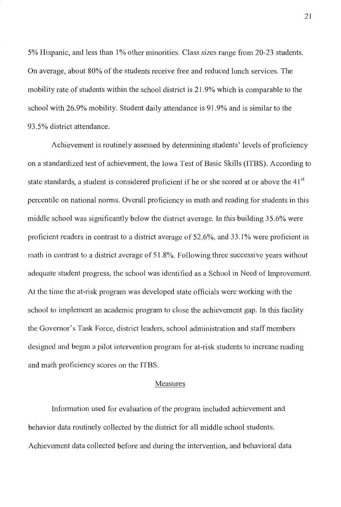5% Hispanic, and less than 1 % other minorities. Class sizes range from 20-23 students. On average, about 80% of the students receive free and reduced lunch services. The mobility rate of students within the school district is 21.9% which is comparable to the school with 26.9% mobility. Student daily attendance is 91.9% and is similar to the 93.5% district attendance.

Achievement is routinely assessed by determining students' levels of proficiency on a standardized test of achievement, the Iowa Test of Basic Skills (ITBS). According to state standards, a student is considered proficient if he or she scored at or above the 41<sup>st</sup> percentile on national norms. Overall proficiency in math and reading for students in this middle school was significantly below the district average. In this building 35.6% were proficient readers in contrast to a district average of 52.6%, and 33.1 % were proficient in math in contrast to a district average of 51.8%. Following three successive years without adequate student progress, the school was identified as a School in Need of Improvement. At the time the at-risk program was developed state officials were working with the school to implement an academic program to close the achievement gap. In this facility the Governor's Task Force, district leaders, school administration and staff members designed and began a pilot intervention program for at-risk students to increase reading and math proficiency scores on the !TBS.

#### Measures

Information used for evaluation of the program included achievement and behavior data routinely collected by the district for all middle school students. Achievement data collected before and during the intervention, and behavioral data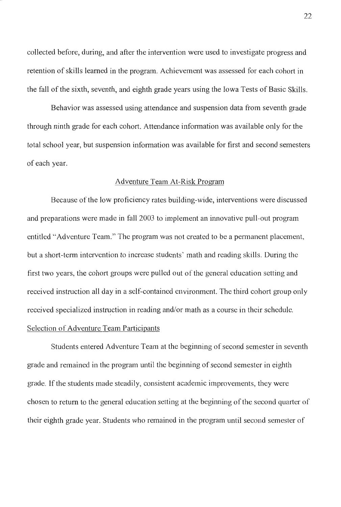collected before, during, and after the intervention were used to investigate progress and retention of skills learned in the program. Achievement was assessed for each cohort in the fall of the sixth, seventh, and eighth grade years using the Iowa Tests of Basic Skills.

Behavior was assessed using attendance and suspension data from seventh grade through ninth grade for each cohort. Attendance information was available only for the total school year, but suspension information was available for first and second semesters of each year.

#### Adventure Team At-Risk Program

Because of the low proficiency rates building-wide, interventions were discussed and preparations were made in fall 2003 to implement an innovative pull-out program entitled "Adventure Team." The program was not created to be a permanent placement, but a short-term intervention to increase students' math and reading skills. During the first two years, the cohort groups were pulled out of the general education setting and received instruction all day in a self-contained environment. The third cohort group only received specialized instruction in reading and/or math as a course in their schedule.

### Selection of Adventure Team Participants

Students entered Adventure Team at the beginning of second semester in seventh grade and remained in the program until the beginning of second semester in eighth grade. If the students made steadily, consistent academic improvements, they were chosen to return to the general education setting at the beginning of the second quarter of their eighth grade year. Students who remained in the program until second semester of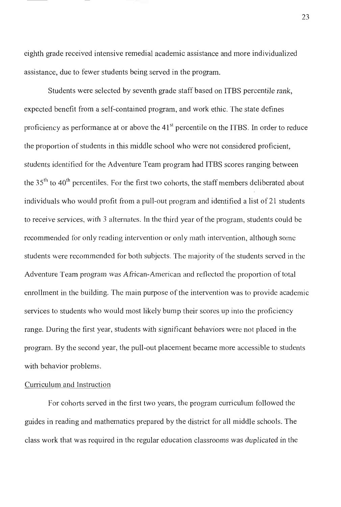eighth grade received intensive remedial academic assistance and more individualized assistance, due to fewer students being served in the program.

Students were selected by seventh grade staff based on ITBS percentile rank, expected benefit from a self-contained program, and work ethic. The state defines proficiency as performance at or above the  $41<sup>st</sup>$  percentile on the ITBS. In order to reduce the proportion of students in this middle school who were not considered proficient, students identified for the Adventure Team program had ITBS scores ranging between the  $35<sup>th</sup>$  to  $40<sup>th</sup>$  percentiles. For the first two cohorts, the staff members deliberated about individuals who would profit from a pull-out program and identified a list of 21 students to receive services, with 3 alternates. In the third year of the program, students could be recommended for only reading intervention or only math intervention, although some students were recommended for both subjects. The majority of the students served in the Adventure Team program was African-American and reflected the proportion of total enrollment in the building. The main purpose of the intervention was to provide academic services to students who would most likely bump their scores up into the proficiency range. During the first year, students with significant behaviors were not placed in the program. By the second year, the pull-out placement became more accessible to students with behavior problems.

### Curriculum and Instruction

For cohorts served in the first two years, the program curriculum followed the guides in reading and mathematics prepared by the district for all middle schools. The class work that was required in the regular education classrooms was duplicated in the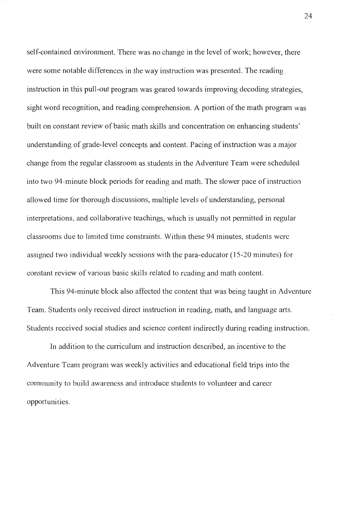self-contained environment. There was no change in the level of work; however, there were some notable differences in the way instruction was presented. The reading instruction in this pull-out program was geared towards improving decoding strategies, sight word recognition, and reading comprehension. A portion of the math program was built on constant review of basic math skills and concentration on enhancing students' understanding of grade-level concepts and content. Pacing of instruction was a major change from the regular classroom as students in the Adventure Team were scheduled into two 94-minute block periods for reading and math. The slower pace of instruction allowed time for thorough discussions, multiple levels of understanding, personal interpretations, and collaborative teachings, which is usually not permitted in regular classrooms due to limited time constraints. Within these 94 minutes, students were assigned two individual weekly sessions with the para-educator ( 15-20 minutes) for constant review of various basic skills related to reading and math content.

This 94-minute block also affected the content that was being taught in Adventure Team. Students only received direct instruction in reading, math, and language arts. Students received social studies and science content indirectly during reading instruction.

In addition to the curriculum and instruction described, an incentive to the Adventure Team program was weekly activities and educational field trips into the community to build awareness and introduce students to volunteer and career opportunities.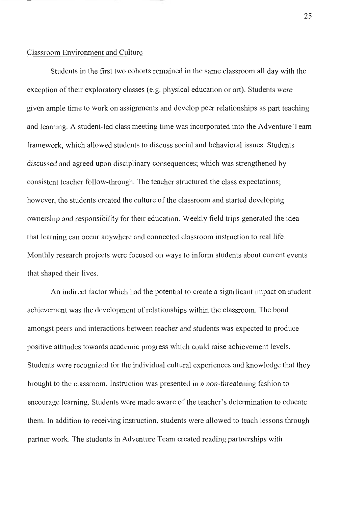### Classroom Environment and Culture

Students in the first two cohorts remained in the same classroom all day with the exception of their exploratory classes (e.g. physical education or art). Students were given ample time to work on assignments and develop peer relationships as part teaching and learning. A student-led class meeting time was incorporated into the Adventure Team framework, which allowed students to discuss social and behavioral issues. Students discussed and agreed upon disciplinary consequences; which was strengthened by consistent teacher follow-through. The teacher structured the class expectations; however, the students created the culture of the classroom and started developing ownership and responsibility for their education. Weekly field trips generated the idea that learning can occur anywhere and connected classroom instruction to real life. Monthly research projects were focused on ways to infonn students about current events that shaped their lives.

An indirect factor which had the potential to create a significant impact on student achievement was the development of relationships within the classroom. The bond amongst peers and interactions between teacher and students was expected to produce positive attitudes towards academic progress which could raise achievement levels. Students were recognized for the individual cultural experiences and knowledge that they brought to the classroom. Instruction was presented in a non-threatening fashion to encourage learning. Students were made aware of the teacher's determination to educate them. In addition to receiving instruction, students were allowed to teach lessons through partner work. The students in Adventure Team created reading partnerships with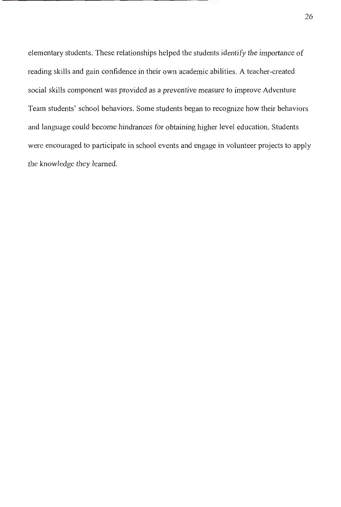elementary students. These relationships helped the students identify the importance of reading skills and gain confidence in their own academic abilities. A teacher-created social skills component was provided as a preventive measure to improve Adventure Team students' school behaviors. Some students began to recognize how their behaviors and language could become hindrances for obtaining higher level education. Students were encouraged to participate in school events and engage in volunteer projects to apply the knowledge they learned.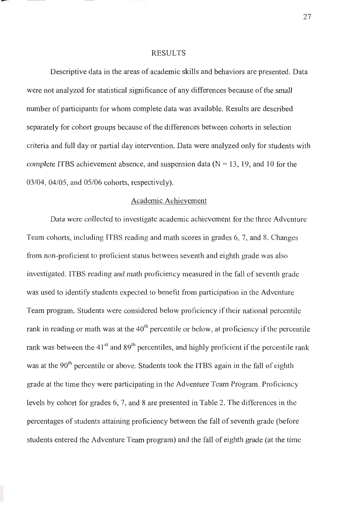#### RESULTS

Descriptive data in the areas of academic skills and behaviors are presented. Data were not analyzed for statistical significance of any differences because of the small number of participants for whom complete data was available. Results are described separately for cohort groups because of the differences between cohorts in selection criteria and full day or partial day intervention. Data were analyzed only for students with complete ITBS achievement absence, and suspension data  $(N = 13, 19, 10)$  for the 03/04, 04/05, and 05/06 cohorts, respectively).

#### Academic Achievement

Data were collected to investigate academic achievement for the three Adventure Team cohorts, including ITBS reading and math scores in grades 6, 7, and 8. Changes from non-proficient to proficient status between seventh and eighth grade was also investigated. ITBS reading and math proficiency measured in the fall of seventh grade was used to identify students expected to benefit from participation in the Adventure Team program. Students were considered below proficiency if their national percentile rank in reading or math was at the  $40<sup>th</sup>$  percentile or below, at proficiency if the percentile rank was between the 41 $^{\text{st}}$  and 89<sup>th</sup> percentiles, and highly proficient if the percentile rank was at the 90<sup>th</sup> percentile or above. Students took the ITBS again in the fall of eighth grade at the time they were participating in the Adventure Team Program. Proficiency levels by cohort for grades 6, 7, and 8 are presented in Table 2. The differences in the percentages of students attaining proficiency between the fall of seventh grade (before students entered the Adventure Team program) and the fall of eighth grade (at the time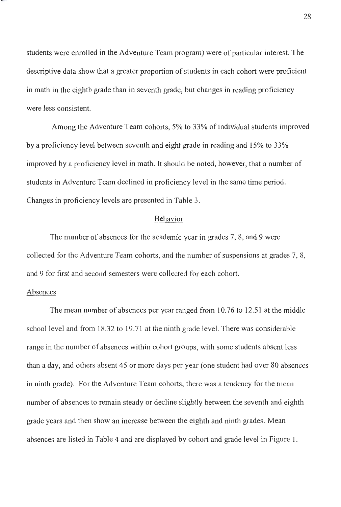students were enrolled in the Adventure Team program) were of particular interest. The descriptive data show that a greater proportion of students in each cohort were proficient in math in the eighth grade than in seventh grade, but changes in reading proficiency were less consistent.

Among the Adventure Team cohorts, 5% to 33% of individual students improved by a proficiency level between seventh and eight grade in reading and 15% to 33% improved by a proficiency level in math. It should be noted, however, that a number of students in Adventure Team declined in proficiency level in the same time period. Changes in proficiency levels are presented in Table 3.

#### Behavior

The number of absences for the academic year in grades 7, 8, and 9 were collected for the Adventure Team cohorts, and the number of suspensions at grades 7, 8, and 9 for first and second semesters were collected for each cohort.

### Absences

The mean number of absences per year ranged from 10.76 to 12.51 at the middle school level and from 18.32 to 19.71 at the ninth grade level. There was considerable range in the number of absences within cohort groups, with some students absent less than a day, and others absent 45 or more days per year (one student had over 80 absences in ninth grade). For the Adventure Team cohorts, there was a tendency for the mean number of absences to remain steady or decline slightly between the seventh and eighth grade years and then show an increase between the eighth and ninth grades. Mean absences are listed in Table 4 and are displayed by cohort and grade level in Figure I.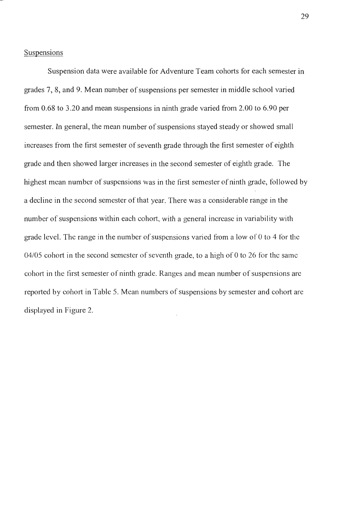#### Suspensions

Suspension data were available for Adventure Team cohorts for each semester in grades 7, 8, and 9. Mean number of suspensions per semester in middle school varied from 0.68 to 3.20 and mean suspensions in ninth grade varied from 2.00 to 6.90 per semester. In general, the mean number of suspensions stayed steady or showed small increases from the first semester of seventh grade through the first semester of eighth grade and then showed larger increases in the second semester of eighth grade. The highest mean number of suspensions was in the first semester of ninth grade, followed by a decline in the second semester of that year. There was a considerable range in the number of suspensions within each cohort, with a general increase in variability with grade level. The range in the number of suspensions varied from a low of O to 4 for the  $04/05$  cohort in the second semester of seventh grade, to a high of 0 to 26 for the same cohort in the first semester of ninth grade. Ranges and mean number of suspensions are reported by cohort in Table 5. Mean numbers of suspensions by semester and cohort are displayed in Figure 2.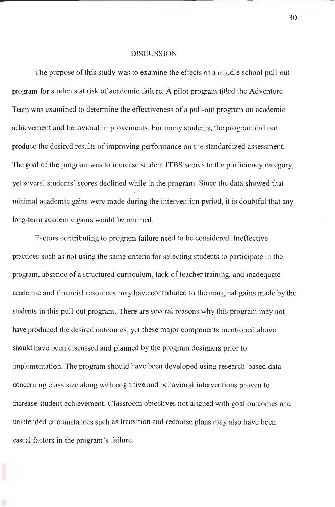#### DISCUSSION

The purpose of this study was to examine the effects of a middle school pull-out program for students at risk of academic failure. A pilot program titled the Adventure Team was examined to determine the effectiveness of a pull-out program on academic achievement and behavioral improvements. For many students, the program did not produce the desired results of improving performance on the standardized assessment. The goal of the program was to increase student ITBS scores to the proficiency category, yet several students' scores declined while in the program. Since the data showed that minimal academic gains were made during the intervention period, it is doubtful that any long-term academic gains would be retained.

Factors contributing to program failure need to be considered. Ineffective practices such as not using the same criteria for selecting students to participate in the program, absence of a structured curriculum, lack of teacher training, and inadequate academic and financial resources may have contributed to the marginal gains made by the students in this pull-out program. There are several reasons why this program may not have produced the desired outcomes, yet these major components mentioned above should have been discussed and planned by the program designers prior to implementation. The program should have been developed using research-based data concerning class size along with cognitive and behavioral interventions proven to increase student achievement. Classroom objectives not aligned with goal outcomes and unintended circumstances such as transition and recourse plans may also have been casual factors in the program's failure.

30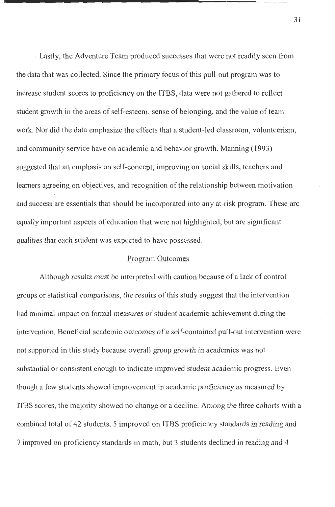. Lastly, the Adventure Team produced successes that were not readily seen from the data that was collected. Since the primary focus of this pull-out program was to increase student scores to proficiency on the ITBS, data were not gathered to reflect student growth in the areas of self-esteem, sense of belonging, and the value of team work. Nor did the data emphasize the effects that a student-led classroom, volunteerism, and community service have on academic and behavior growth. Manning ( 1993) suggested that an emphasis on self-concept, improving on social skills, teachers and learners agreeing on objectives, and recognition of the relationship between motivation and success are essentials that should be incorporated into any at-risk program. These are equally important aspects of education that were not highlighted, but are significant qualities that each student was expected to have possessed.

### Program Outcomes

Although results must be interpreted with caution because of a lack of control groups or statistical comparisons, the results of this study suggest that the intervention had minimal impact on formal measures of student academic achievement during the intervention. Beneficial academic outcomes of a self-contained pull-out intervention were not supported in this study because overall group growth in academics was not substantial or consistent enough to indicate improved student academic progress. Even though a few students showed improvement in academic proficiency as measured by ITBS scores, the majority showed no change or a decline. Among the three cohorts with a combined total of 42 students, 5 improved on ITBS proficiency standards in reading and 7 improved on proficiency standards in math, but 3 students declined in reading and 4

31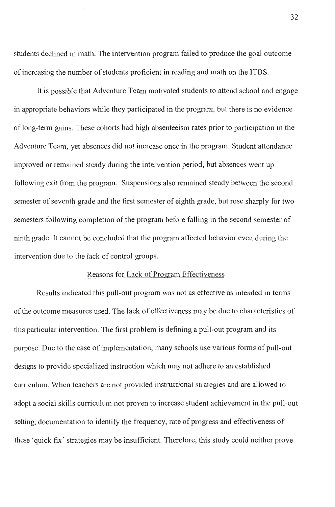students declined in math. The intervention program failed to produce the goal outcome of increasing the number of students proficient in reading and math on the ITBS.

It is possible that Adventure Team motivated students to attend school and engage in appropriate behaviors while they participated in the program, but there is no evidence of long-term gains. These cohorts had high absenteeism rates prior to participation in the Adventure Team, yet absences did not increase once in the program. Student attendance improved or remained steady during the intervention period, but absences went up following exit from the program. Suspensions also remained steady between the second semester of seventh grade and the first semester of eighth grade, but rose sharply for two semesters following completion of the program before falling in the second semester of ninth grade. It cannot be concluded that the program affected behavior even during the intervention due to the lack of control groups.

#### Reasons for Lack of Program Effectiveness

Results indicated this pull-out program was not as effective as intended in terms of the outcome measures used. The lack of effectiveness may be due to characteristics of this particular intervention. The first problem is defining a pull-out program and its purpose. Due to the ease of implementation, many schools use various forms of pull-out designs to provide specialized instruction which may not adhere to an established curriculum. When teachers are not provided instructional strategies and are allowed to adopt a social skills curriculum not proven to increase student achievement in the pull-out setting, documentation to identify the frequency, rate of progress and effectiveness of these 'quick fix ' strategies may be insufficient. Therefore, this study could neither prove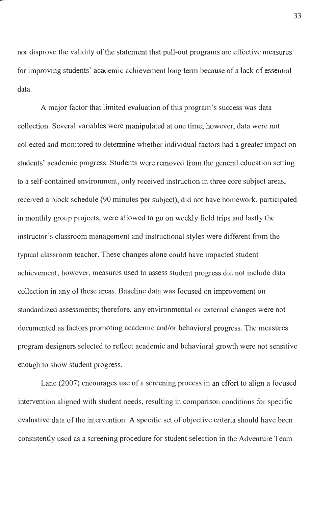nor disprove the validity of the statement that pull-out programs are effective measures for improving students' academic achievement long term because of a lack of essential data.

A major factor that limited evaluation of this program's success was data collection. Several variables were manipulated at one time; however, data were not collected and monitored to determine whether individual factors had a greater impact on students' academic progress. Students were removed from the general education setting to a self-contained environment, only received instruction in three core subject areas, received a block schedule (90 minutes per subject), did not have homework, participated in monthly group projects, were allowed to go on weekly field trips and lastly the instructor's classroom management and instructional styles were different from the typical classroom teacher. These changes alone could have impacted student achievement; however, measures used to assess student progress did not include data collection in any of these areas. Baseline data was focused on improvement on standardized assessments; therefore, any environmental or external changes were not documented as factors promoting academic and/or behavioral progress. The measures program designers selected to reflect academic and behavioral growth were not sensitive enough to show student progress.

Lane (2007) encourages use of a screening process in an effort to align a focused intervention aligned with student needs, resulting in comparison conditions for specific evaluative data of the intervention. A specific set of objective criteria should have been consistently used as a screening procedure for student selection in the Adventure Team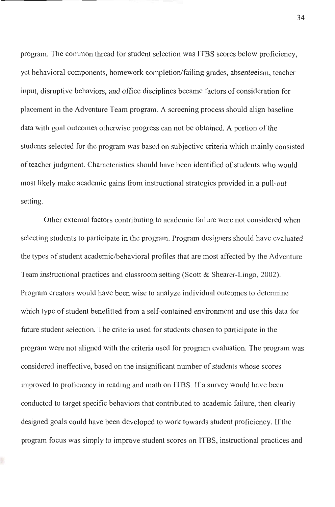program. The common thread for student selection was ITBS scores below proficiency, yet behavioral components, homework completion/failing grades, absenteeism, teacher input, disruptive behaviors, and office disciplines became factors of consideration for placement in the Adventure Team program. A screening process should align baseline data with goal outcomes otherwise progress can not be obtained. A portion of the students selected for the program was based on subjective criteria which mainly consisted of teacher judgment. Characteristics should have been identified of students who would most likely make academic gains from instructional strategies provided in a pull-out setting.

Other external factors contributing to academic failure were not considered when selecting students to participate in the program. Program designers should have evaluated the types of student academic/behavioral profiles that are most affected by the Adventure Team instructional practices and classroom setting (Scott & Shearer-Lingo, 2002). Program creators would have been wise to analyze individual outcomes to determine which type of student benefitted from a self-contained environment and use this data for future student selection. The criteria used for students chosen to participate in the program were not aligned with the criteria used for program evaluation. The program was considered ineffective, based on the insignificant number of students whose scores improved to proficiency in reading and math on ITBS. If a survey would have been conducted to target specific behaviors that contributed to academic failure, then clearly designed goals could have been developed to work towards student proficiency. If the program focus was simply to improve student scores on ITBS, instructional practices and

34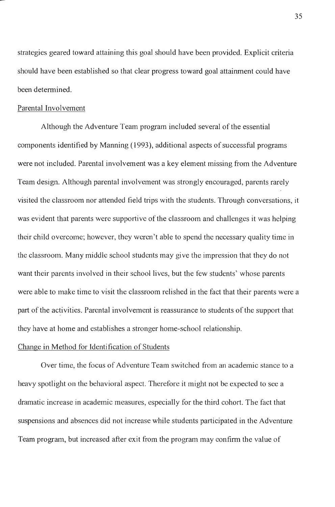strategies geared toward attaining this goal should have been provided. Explicit criteria should have been established so that clear progress toward goal attainment could have been determined.

#### Parental Involvement

Although the Adventure Team program included several of the essential components identified by Manning (1993), additional aspects of successful programs were not included. Parental involvement was a key element missing from the Adventure Team design. Although parental involvement was strongly encouraged, parents rarely visited the classroom nor attended field trips with the students. Through conversations, it was evident that parents were supportive of the classroom and challenges it was helping their child overcome; however, they weren't able to spend the necessary quality time in the classroom. Many middle school students may give the impression that they do not want their parents involved in their school lives, but the few students' whose parents were able to make time to visit the classroom relished in the fact that their parents were a part of the activities. Parental involvement is reassurance to students of the support that they have at home and establishes a stronger home-school relationship.

### Change in Method for Identification of Students

Over time, the focus of Adventure Team switched from an academic stance to a heavy spotlight on the behavioral aspect. Therefore it might not be expected to see a dramatic increase in academic measures, especially for the third cohort. The fact that suspensions and absences did not increase while students participated in the Adventure Team program, but increased after exit from the program may confirm the value of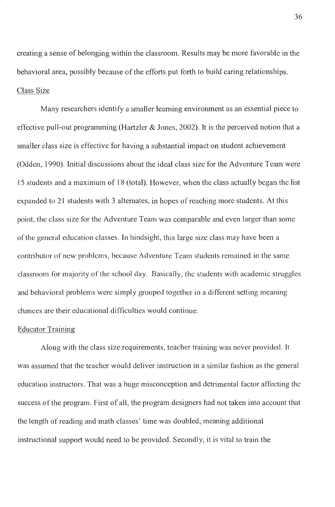creating a sense of belonging within the classroom. Results may be more favorable in the behavioral area, possibly because of the efforts put forth to build caring relationships. Class Size

Many researchers identify a smaller learning environment as an essential piece to effective pull-out programming (Hartzler & Jones, 2002). It is the perceived notion that a smaller class size is effective for having a substantial impact on student achievement (Odden, 1990). Initial discussions about the ideal class size for the Adventure Team were 15 students and a maximum of 18 (total). However, when the class actually began the list expanded to 21 students with 3 alternates, in hopes of reaching more students. At this point, the class size for the Adventure Team was comparable and even larger than some of the general education classes. In hindsight, this large size class may have been a contributor of new problcms, because Adventure Team students remained in the same classroom for majority of the school day. Basically, the students with academic struggles and behavioral problems were simply grouped together in a different setting meaning chances are their educational difficulties would continue.

#### Educator Training

Along with the class size requirements, teacher training was never provided. It was assumed that the teacher would deliver instruction in a similar fashion as the general education instructors. That was a huge misconception and detrimental factor affecting the success of the program. First of all, the program designers had not taken into account that the length of reading and math classes' time was doubled, meaning additional instructional support would need to be provided. Secondly, it is vital to train the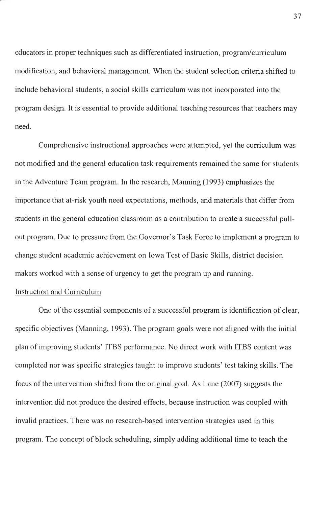educators in proper techniques such as differentiated instruction, program/curriculum modification, and behavioral management. When the student selection criteria shifted to include behavioral students, a social skills curriculum was not incorporated into the program design. It is essential to provide additional teaching resources that teachers may need.

Comprehensive instructional approaches were attempted, yet the curriculum was not modified and the general education task requirements remained the same for students in the Adventure Team program. In the research, Manning ( 1993) emphasizes the importance that at-risk youth need expectations, methods, and materials that differ from students in the general education classroom as a contribution to create a successful pullout program. Due to pressure from the Governor's Task Force to implement a program to change student academic achievement on Iowa Test of Basic Skills, district decision makers worked with a sense of urgency to get the program up and running.

### Instruction and Curriculum

One of the essential components of a successful program is identification of clear, specific objectives (Manning, 1993). The program goals were not aligned with the initial plan of improving students' ITBS performance. No direct work with ITBS content was completed nor was specific strategies taught to improve students' test taking skills. The focus of the intervention shifted from the original goal. As Lane (2007) suggests the intervention did not produce the desired effects, because instruction was coupled with invalid practices. There was no research-based intervention strategies used in this program. The concept of block scheduling, simply adding additional time to teach the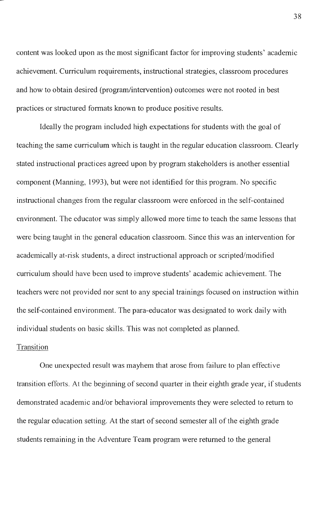content was looked upon as the most significant factor for improving students' academic achievement. Curriculum requirements, instructional strategies, classroom procedures and how to obtain desired (program/intervention) outcomes were not rooted in best practices or structured formats known to produce positive results.

Ideally the program included high expectations for students with the goal of teaching the same curriculum which is taught in the regular education classroom. Clearly stated instructional practices agreed upon by program stakeholders is another essential component (Manning, 1993), but were not identified for this program. No specific instructional changes from the regular classroom were enforced in the self-contained environment. The educator was simply allowed more time to teach the same lessons that were being taught in the general education classroom. Since this was an intervention for academically at-risk students, a direct instructional approach or scripted/modified curriculum should have been used to improve students' academic achievement. The teachers were not provided nor sent to any special trainings focused on instruction within the self-contained environment. The para-educator was designated to work daily with individual students on basic skills. This was not completed as planned.

### **Transition**

One unexpected result was mayhem that arose from failure to plan effective transition efforts. At the beginning of second quarter in their eighth grade year, if students demonstrated academic and/or behavioral improvements they were selected to return to the regular education setting. At the start of second semester all of the eighth grade students remaining in the Adventure Team program were returned to the general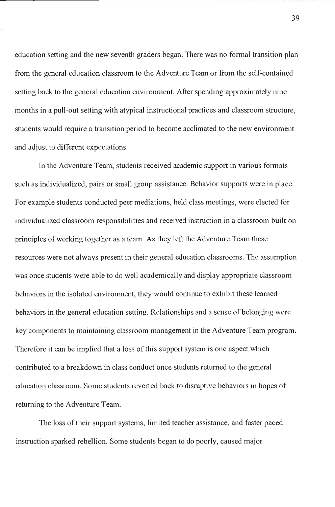education setting and the new seventh graders began. There was no formal transition plan from the general education classroom to the Adventure Team or from the self-contained setting back to the general education environment. After spending approximately nine months in a pull-out setting with atypical instructional practices and classroom structure, students would require a transition period to become acclimated to the new environment and adjust to different expectations.

In the Adventure Team, students received academic support in various formats such as individualized, pairs or small group assistance. Behavior supports were in place. For example students conducted peer mediations, held class meetings, were elected for individualized classroom responsibilities and received instruction in a classroom built on principles of working together as a team. As they left the Adventure Team these resources were not always present in their general education classrooms. The assumption was once students were able to do well academically and display appropriate classroom behaviors in the isolated environment, they would continue to exhibit these learned behaviors in the general education setting. Relationships and a sense of belonging were key components to maintaining classroom management in the Adventure Team program. Therefore it can be implied that a loss of this support system is one aspect which contributed to a breakdown in class conduct once students returned to the general education classroom. Some students reverted back to disruptive behaviors in hopes of returning to the Adventure Team.

The loss of their support systems, limited teacher assistance, and faster paced instruction sparked rebellion. Some students began to do poorly, caused major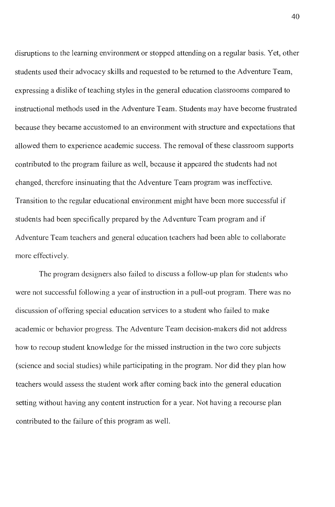disruptions to the learning environment or stopped attending on a regular basis. Yet, other students used their advocacy skills and requested to be returned to the Adventure Team, expressing a dislike of teaching styles in the general education classrooms compared to instructional methods used in the Adventure Team. Students may have become frustrated because they became accustomed to an environment with structure and expectations that allowed them to experience academic success. The removal of these classroom supports contributed to the program failure as well, because it appeared the students had not changed, therefore insinuating that the Adventure Team program was ineffective. Transition to the regular educational environment might have been more successful if students had been specifically prepared by the Adventure Team program and if Adventure Team teachers and general education teachers had been able to collaborate more effectively.

The program designers also failed to discuss a follow-up plan for students who were not successful following a year of instruction in a pull-out program. There was no discussion of offering special education services to a student who failed to make academic or behavior progress. The Adventure Team decision-makers did not address how to recoup student knowledge for the missed instruction in the two core subjects (science and social studies) while participating in the program. Nor did they plan how teachers would assess the student work after coming back into the general education setting without having any content instruction for a year. Not having a recourse plan contributed to the failure of this program as well.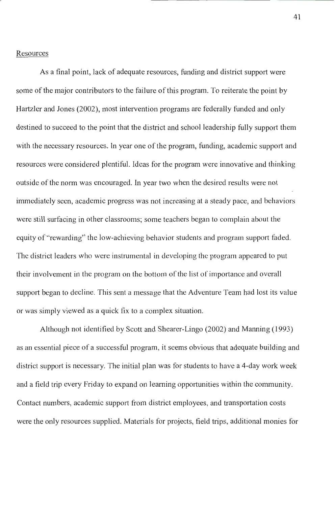#### Resources

As a final point, lack of adequate resources, funding and district support were some of the major contributors to the failure of this program. To reiterate the point by Hartzler and Jones (2002), most intervention programs are federally funded and only destined to succeed to the point that the district and school leadership fully support them with the necessary resources. In year one of the program, funding, academic support and resources were considered plentiful. Ideas for the program were innovative and thinking outside of the norm was encouraged. In year two when the desired results were not immediately seen, academic progress was not increasing at a steady pace, and behaviors were still surfacing in other classrooms; some teachers began to complain about the equity of "rewarding" the low-achieving behavior students and program support faded. The district leaders who were instrumental in developing the program appeared to put their involvement in the program on the bottom of the list of importance and overall support began to decline. This sent a message that the Adventure Team had lost its value or was simply viewed as a quick fix to a complex situation.

Although not identified by Scott and Shearer-Lingo (2002) and Manning (1993) as an essential piece of a successful program, it seems obvious that adequate building and district support is necessary. The initial plan was for students to have a 4-day work week and a field trip every Friday to expand on learning opportunities within the community. Contact numbers, academic support from district employees, and transportation costs were the only resources supplied. Materials for projects, field trips, additional monies for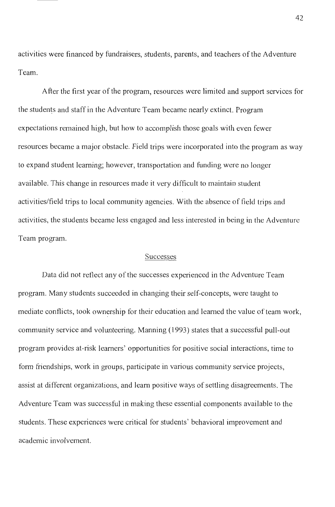activities were financed by fundraisers, students, parents, and teachers of the Adventure Team.

After the first year of the program, resources were limited and support services for the students and staff in the Adventure Team became nearly extinct. Program expectations remained high, but how to accomplish those goals with even fewer resources became a major obstacle. Field trips were incorporated into the program as way to expand student learning; however, transportation and funding were no longer available. This change in resources made it very difficult to maintain student activities/field trips to local community agencies. With the absence of field trips and activities, the students became less engaged and less interested in being in the Adventure Team program.

#### Successes

Data did not reflect any of the successes experienced in the Adventure Team program. Many students succeeded in changing their self-concepts, were taught to mediate conflicts, took ownership for their education and learned the value of team work, community service and volunteering. Manning (1993) states that a successful pull-out program provides at-risk learners' opportunities for positive social interactions, time to form friendships, work in groups, participate in various community service projects, assist at different organizations, and learn positive ways of settling disagreements. The Adventure Team was successful in making these essential components available to the students. These experiences were critical for students' behavioral improvement and academic involvement.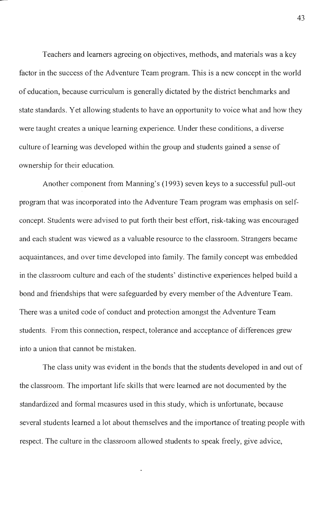Teachers and learners agreeing on objectives, methods, and materials was a key factor in the success of the Adventure Team program. This is a new concept in the world of education, because curriculum is generally dictated by the district benchmarks and state standards. Yet allowing students to have an opportunity to voice what and how they were taught creates a unique learning experience. Under these conditions, a diverse culture of learning was developed within the group and students gained a sense of ownership for their education.

Another component from Manning's (1993) seven keys to a successful pull-out program that was incorporated into the Adventure Team program was emphasis on selfconcept. Students were advised to put forth their best effort, risk-taking was encouraged and each student was viewed as a valuable resource to the classroom. Strangers became acquaintances, and over time developed into family. The family concept was embedded in the classroom culture and each of the students' distinctive experiences helped build a bond and friendships that were safeguarded by every member of the Adventure Team. There was a united code of conduct and protection amongst the\_ Adventure Team students. From this connection, respect, tolerance and acceptance of differences grew into a union that cannot be mistaken.

The class unity was evident in the bonds that the students developed in and out of the classroom. The important life skills that were learned are not documented by the standardized and formal measures used in this study, which is unfortunate, because several students learned a lot about themselves and the importance of treating people with respect. The culture in the classroom allowed students to speak freely, give advice,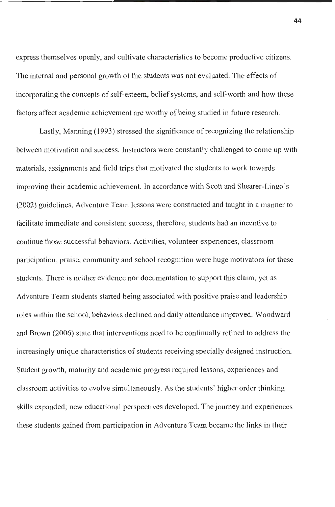express themselves openly, and cultivate characteristics to become productive citizens. The internal and personal growth of the students was not evaluated. The effects of incorporating the concepts of self-esteem, belief systems, and self-worth and how these factors affect academic achievement are worthy of being studied in future research.

Lastly, Manning (1993) stressed the significance of recognizing the relationship between motivation and success. Instructors were constantly challenged to come up with materials, assignments and field trips that motivated the students to work towards improving their academic achievement. In accordance with Scott and Shearer-Lingo's (2002) guidelines, Adventure Team lessons were constructed and taught in a manner to facilitate immediate and consistent success, therefore, students had an incentive to continue those successful behaviors. Activities, volunteer experiences, classroom participation, praise, community and school recognition were huge motivators for these students. There is neither evidence nor documentation to support this claim, yet as Adventure Team students started being associated with positive praise and leadership roles within the school, behaviors declined and daily attendance improved. Woodward and Brown (2006) state that interventions need to be continually refined to address the increasingly unique characteristics of students receiving specially designed instruction. Student growth, maturity and academic progress required lessons, experiences and classroom activities to evolve simultaneously. As the students' higher order thinking skills expanded; new educational perspectives developed. The journey and experiences these students gained from participation in Adventure Team became the links in their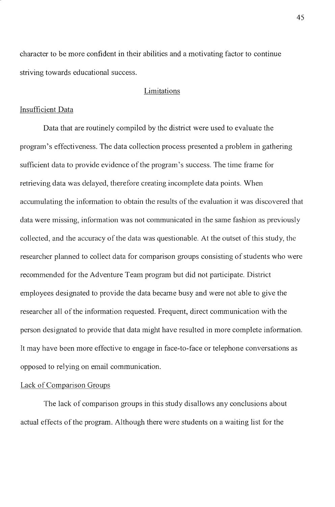character to be more confident in their abilities and a motivating factor to continue striving towards educational success.

### Limitations

#### Insufficient Data

Data that are routinely compiled by the district were used to evaluate the program's effectiveness. The data collection process presented a problem in gathering sufficient data to provide evidence of the program's success. The time frame for retrieving data was delayed, therefore creating incomplete data points. When accumulating the information to obtain the results of the evaluation it was discovered that data were missing, information was not communicated in the same fashion as previously collected, and the accuracy of the data was questionable. At the outset of this study, the researcher planned to collect data for comparison groups consisting of students who were recommended for the Adventure Team program but did not participate. District employees designated to provide the data became busy and were not able to give the researcher all of the information requested. Frequent, direct communication with the person designated to provide that data might have resulted in more complete information. It may have been more effective to engage in face-to-face or telephone conversations as opposed to relying on email communication.

### Lack of Comparison Groups

The lack of comparison groups in this study disallows any conclusions about actual effects of the program. Although there were students on a waiting list for the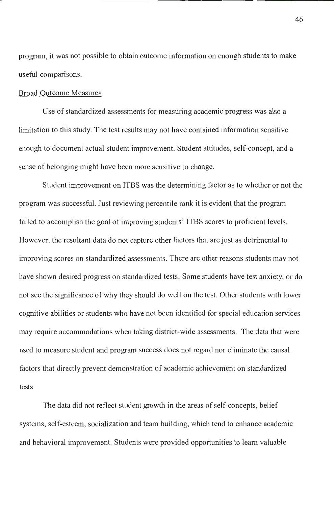program, it was not possible to obtain outcome information on enough students to make useful comparisons.

#### Broad Outcome Measures

Use of standardized assessments for measuring academic progress was also a limitation to this study. The test results may not have contained information sensitive enough to document actual student improvement. Student attitudes, self-concept, and a sense of belonging might have been more sensitive to change.

Student improvement on ITBS was the determining factor as to whether or not the program was successful. Just reviewing percentile rank it is evident that the program failed to accomplish the goal of improving students' ITBS scores to proficient levels. However, the resultant data do not capture other factors that are just as detrimental to improving scores on standardized assessments. There are other reasons students may not have shown desired progress on standardized tests. Some students have test anxiety, or do not see the significance of why they should do well on the test. Other students with lower cognitive abilities or students who have not been identified for special education services may require accommodations when taking district-wide assessments. The data that were used to measure student and program success does not regard nor eliminate the causal factors that directly prevent demonstration of academic achievement on standardized tests.

The data did not reflect student growth in the areas of self-concepts, belief systems, self-esteem, socialization and team building, which tend to enhance academic and behavioral improvement. Students were provided opportunities to learn valuable

46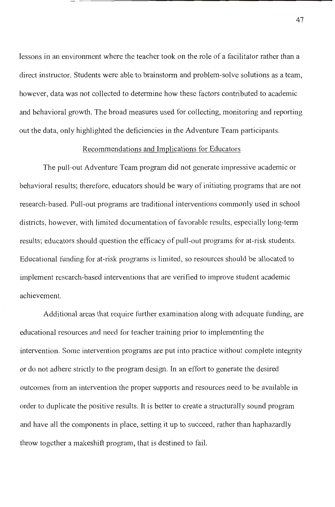lessons in an environment where the teacher took on the role of a facilitator rather than a direct instructor. Students were able to brainstorm and problem-solve solutions as a team, however, data was not collected to determine how these factors contributed to academic and behavioral growth. The broad measures used for collecting, monitoring and reporting out the data, only highlighted the deficiencies in the Adventure Team participants.

### Recommendations and Implications for Educators

The pull-out Adventure Team program did not generate impressive academic or behavioral results; therefore, educators should be wary of initiating programs that are not research-based. Pull-out programs are traditional interventions commonly used in school districts, however, with limited documentation of favorable results, especially long-term results; educators should question the efficacy of pull-out programs for at-risk students. Educational funding for at-risk programs is limited, so resources should be allocated to implement research-based interventions that are verified to improve student academic achievement.

Additional areas that require further examination along with adequate funding, are educational resources and need for teacher training prior to implementing the intervention. Some intervention programs are put into practice without complete integrity or do not adhere strictly to the program design. In an effort to generate the desired outcomes from an intervention the proper supports and resources need to be available in order to duplicate the positive results. It is better to create a structurally sound program and have all the components in place, setting it up to succeed, rather than haphazardly throw together a makeshift program, that is destined to fail.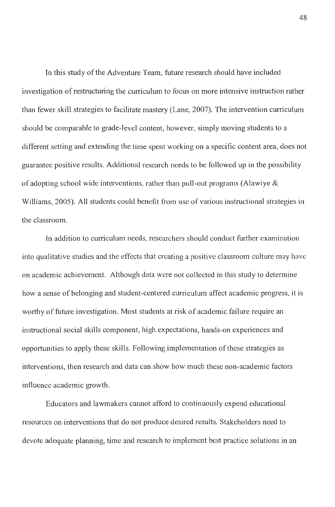In this study of the Adventure Team, future research should have included investigation of restructuring the curriculum to focus on more intensive instruction rather than fewer skill strategies to facilitate mastery (Lane, 2007). The intervention curriculum should be comparable to grade-level content, however, simply moving students to a different setting and extending the time spent working on a specific content area, does not guarantee positive results. Additional research needs to be followed up in the possibility of adopting school wide interventions, rather than pull-out programs (Alawiye & Williams, 2005). All students could benefit from use of various instructional strategies in the classroom.

In addition to curriculum needs, researchers should conduct further examination into qualitative studies and the effects that creating a positive classroom culture may have on academic achievement. Although data were not collected in this study to detennine how a sense of belonging and student-centered curriculum affect academic progress, it is worthy of future investigation. Most students at risk of academic failure require an instructional social skills component, high expectations, hands-on experiences and opportunities to apply these skills. Following implementation of these strategies as interventions, then research and data can show how much these non-academic factors influence academic growth.

Educators and lawmakers cannot afford to continuously expend educational resources on interventions that do not produce desired results. Stakeholders need to devote adequate planning, time and research to implement best practice solutions in an

48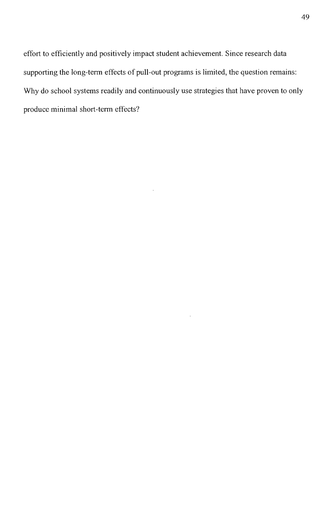effort to efficiently and positively impact student achievement. Since research data supporting the long-term effects of pull-out programs is limited, the question remains: Why do school systems readily and continuously use strategies that have proven to only produce minimal short-term effects?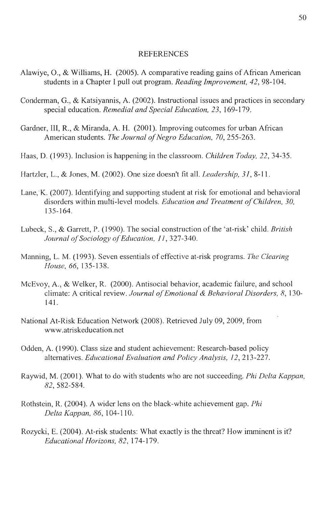#### REFERENCES

- Alawiye, 0., & Williams, H. (2005). A comparative reading gains of African American students in a Chapter I pull out program. *Reading Improvement, 42,* 98-104.
- Conderman, G., & Katsiyannis, A. (2002). Instructional issues and practices in secondary special education. *Remedial and Special Education*, 23, 169-179.
- Gardner, III, R., & Miranda, A.H. (2001). Improving outcomes for urban African American students. *The Journal of Negro Education, 70,* 255-263.
- Haas, D. (1993). Inclusion is happening in the classroom. *Children Today, 22,* 34-35.
- Hartzler, L., & Jones, M. (2002). One size doesn't fit all. *Leadership, 3 I,* 8-11.
- Lane, K. (2007). Identifying and supporting student at risk for emotional and behavioral disorders within multi-level models. *Education and Treatment of Children, 30,*  135-164.
- Lubeck, S., & Garrett, P. (1990). The social construction of the 'at-risk' child. *British Journal of Sociology of Education, I I,* 327-340.
- Manning, L. M. (1993). Seven essentials of effective at-risk programs. *The Clearing House, 66,* 135-138.
- McEvoy, A., & Welker, R. (2000). Antisocial behavior, academic failure, and school climate: A critical review. *Journal of Emotional & Behavioral Disorders, 8,* 130- 141.
- National At-Risk Education Network (2008). Retrieved July 09, 2009, from www.atriskeducation.net
- Odden, A. ( 1990). Class size and student achievement: Research-based policy alternatives. *Educational Evaluation and Policy Analysis, I 2,* 213-227.
- Raywid, M. (2001). What to do with students who are not succeeding. *Phi Delta Kappan, 82,* 582-584.
- Rothstein, R. (2004). A wider lens on the black-white achievement gap. *Phi Delta Kappan, 86,* 104-110.
- Rozycki, E. (2004). At-risk students: What exactly is the threat? How imminent is it? *Educational Horizons, 82,* 174-179.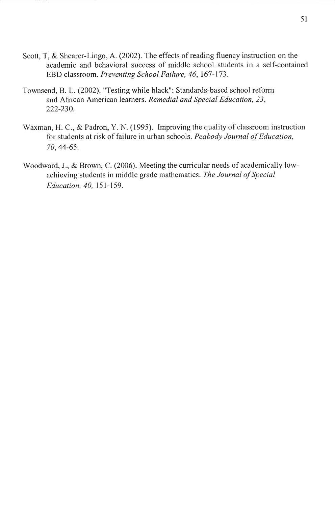- Scott, T, & Shearer-Lingo, A. (2002). The effects of reading fluency instruction on the academic and behavioral success of middle school students in a self-contained EBO classroom. *Preventing School Failure, 46,* 167-173.
- Townsend, B. L. (2002). "Testing while black": Standards-based school reform and African American learners. *Remedial and Special Education, 23,*  222-230.
- Waxman, H. C., & Padron, Y. N. (1995). Improving the quality of classroom instruction for students at risk of failure in urban schools. *Peabody Journal of Education,*  70, 44-65.
- Woodward, J., & Brown, C. (2006). Meeting the curricular needs of academically lowachieving students in middle grade mathematics. The Journal of Special *Education, 40,* 151-159.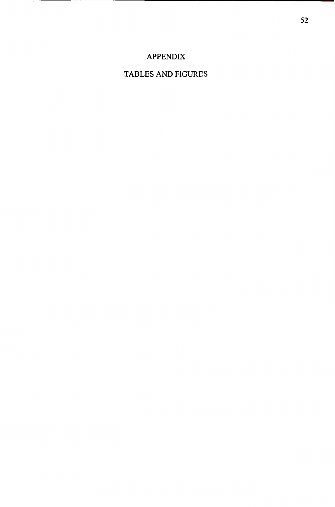# APPENDIX

# TABLES AND FIGURES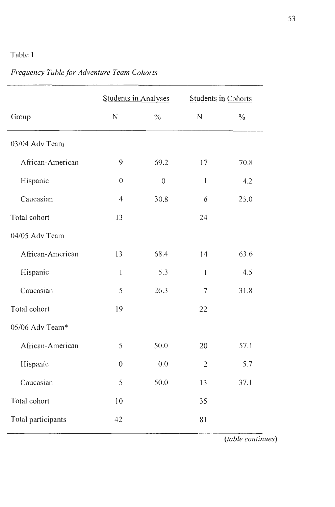# Table I

|                    | <b>Students in Analyses</b> |                  | <b>Students in Cohorts</b> |               |
|--------------------|-----------------------------|------------------|----------------------------|---------------|
| Group              | ${\bf N}$                   | $\frac{0}{0}$    | $\mathbf N$                | $\frac{0}{0}$ |
| 03/04 Adv Team     |                             |                  |                            |               |
| African-American   | 9                           | 69.2             | 17                         | 70.8          |
| Hispanic           | $\theta$                    | $\boldsymbol{0}$ | $\,1$                      | 4.2           |
| Caucasian          | 4                           | 30.8             | 6                          | 25.0          |
| Total cohort       | 13                          |                  | 24                         |               |
| 04/05 Adv Team     |                             |                  |                            |               |
| African-American   | 13                          | 68.4             | 14                         | 63.6          |
| Hispanic           | $\mathbf{1}$                | 5.3              | $\mathbf{l}$               | 4.5           |
| Caucasian          | 5                           | 26.3             | $\tau$                     | 31.8          |
| Total cohort       | 19                          |                  | 22                         |               |
| 05/06 Adv Team*    |                             |                  |                            |               |
| African-American   | 5                           | 50.0             | 20                         | 57.1          |
| Hispanic           | $\boldsymbol{0}$            | 0.0              | $\mathfrak{2}$             | 5.7           |
| Caucasian          | 5                           | 50.0             | 13                         | 37.1          |
| Total cohort       | 10                          |                  | 35                         |               |
| Total participants | 42                          |                  | 81                         |               |

# *Frequency Table for Adventure Team Cohorts*

*(table continues)*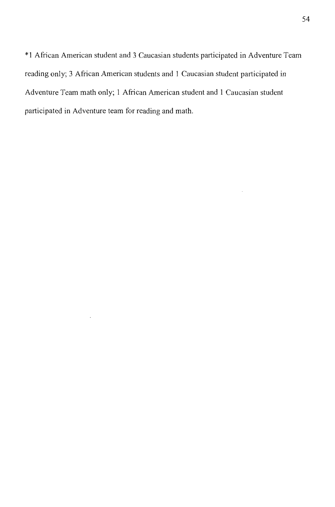\* 1 African American student and 3 Caucasian students participated in Adventure Team reading only; 3 African American students and l Caucasian student participated in Adventure Team math only; l African American student and I Caucasian student participated in Adventure team for reading and math.

 $\ddot{\phantom{a}}$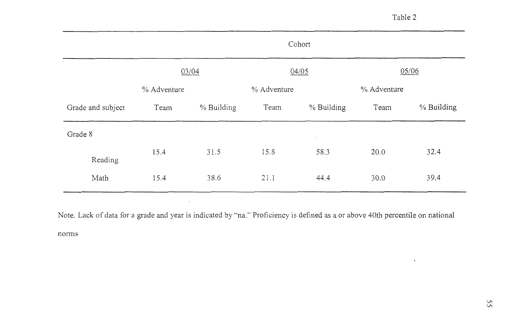$\Lambda$ 

|                   | Cohort                  |            |             |            |             |            |  |  |
|-------------------|-------------------------|------------|-------------|------------|-------------|------------|--|--|
|                   | 05/06<br>04/05<br>03/04 |            |             |            |             |            |  |  |
|                   | % Adventure             |            | % Adventure |            | % Adventure |            |  |  |
| Grade and subject | Team                    | % Building | Team        | % Building | Team        | % Building |  |  |
| Grade 8           |                         |            |             | $\epsilon$ |             |            |  |  |
| Reading           | 15.4                    | 31.5       | 15.8        | 58.3       | 20.0        | 32.4       |  |  |
| Math              | 15.4                    | 38.6       | 21.1        | 44.4       | 30.0        | 39.4       |  |  |

Note. Lack of data for a grade and year is indicated by "na." Proficiency is defined as a or above 40th percentile on national

 $\sim$ 

norms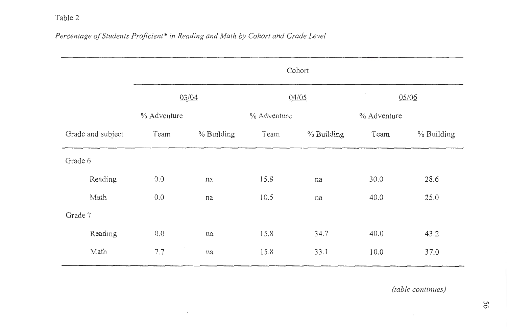# *Percentage of Students Proficient\* in Reading and Math by Cohort and Grade Level*

 $\sim 10^{11}$  km s  $^{-1}$ 

|                   |         | Cohort      |            |             |            |       |            |  |  |
|-------------------|---------|-------------|------------|-------------|------------|-------|------------|--|--|
|                   |         | 03/04       |            | 04/05       |            | 05/06 |            |  |  |
|                   |         | % Adventure |            | % Adventure |            |       |            |  |  |
| Grade and subject |         | Team        | % Building | Team        | % Building | Team  | % Building |  |  |
| Grade 6           |         |             |            |             |            |       |            |  |  |
|                   | Reading | 0.0         | na         | 15.8        | na         | 30.0  | 28.6       |  |  |
|                   | Math    | 0.0         | na         | 10.5        | na         | 40.0  | 25.0       |  |  |
| Grade 7           |         |             |            |             |            |       |            |  |  |
|                   | Reading | 0.0         | na         | 15.8        | 34.7       | 40.0  | 43.2       |  |  |
|                   | Math    | 7.7         | na         | 15.8        | 33.1       | 10.0  | 37.0       |  |  |

 $\mathcal{L}^{\text{max}}$  .

*(table continues)* 

 $\mathbf{t}$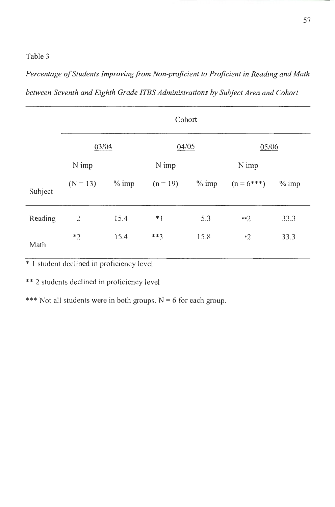*Percentage of Students Improving from Non-proficient to Proficient in Reading and Math between Seventh and Eighth Grade !TBS Administrations by Subject Area and Cohort* 

|         | Cohort           |      |            |          |              |         |  |  |  |  |
|---------|------------------|------|------------|----------|--------------|---------|--|--|--|--|
|         | 03/04            |      | 04/05      |          | 05/06        |         |  |  |  |  |
|         | N imp            |      | N imp      |          | N imp        |         |  |  |  |  |
| Subject | $(N = 13)$ % imp |      | $(n = 19)$ | $\%$ imp | $(n = 6***)$ | $%$ imp |  |  |  |  |
| Reading | $\mathbf{2}$     | 15.4 | $*1$       | 5.3      | $**2$        | 33.3    |  |  |  |  |
| Math    | $*2$             | 15.4 | $***3$     | 15.8     | $*2$         | 33.3    |  |  |  |  |

\* I student declined in proficiency level

\*\* 2 students declined in proficiency level

\*\*\* Not all students were in both groups.  $N = 6$  for each group.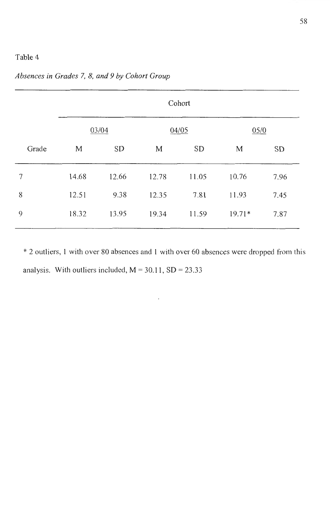|       | Cohort                 |       |       |           |          |           |  |  |  |  |  |
|-------|------------------------|-------|-------|-----------|----------|-----------|--|--|--|--|--|
|       | 05/0<br>03/04<br>04/05 |       |       |           |          |           |  |  |  |  |  |
| Grade | <b>SD</b><br>M         |       | M     | <b>SD</b> |          | <b>SD</b> |  |  |  |  |  |
| 7     | 14.68                  | 12.66 | 12.78 | 11.05     | 10.76    | 7.96      |  |  |  |  |  |
| 8     | 12.51                  | 9.38  | 12.35 | 7.81      | 11.93    | 7.45      |  |  |  |  |  |
| 9     | 18.32                  | 13.95 | 19.34 | 11.59     | $19.71*$ | 7.87      |  |  |  |  |  |

*Absences in Grades* 7, *8, and 9 by Cohort Group* 

\* 2 outliers, I with over 80 absences and 1 with over 60 absences were dropped from this analysis. With outliers included,  $M = 30.11$ ,  $SD = 23.33$ 

 $\overline{\phantom{a}}$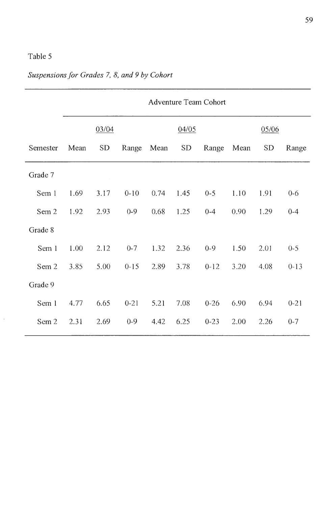$\bar{z}$ 

|          | <b>Adventure Team Cohort</b> |           |          |       |           |          |       |           |          |
|----------|------------------------------|-----------|----------|-------|-----------|----------|-------|-----------|----------|
|          |                              | 03/04     |          | 04/05 |           |          | 05/06 |           |          |
| Semester | Mean                         | <b>SD</b> | Range    | Mean  | <b>SD</b> | Range    | Mean  | <b>SD</b> | Range    |
| Grade 7  |                              |           |          |       |           |          |       |           |          |
| Sem 1    | 1.69                         | 3.17      | $0 - 10$ | 0.74  | 1.45      | $0 - 5$  | 1.10  | 1.91      | $0 - 6$  |
| Sem 2    | 1.92                         | 2.93      | $0 - 9$  | 0.68  | 1.25      | $0 - 4$  | 0.90  | 1.29      | $0 - 4$  |
| Grade 8  |                              |           |          |       |           |          |       |           |          |
| Sem 1    | 1.00                         | 2.12      | $0 - 7$  | 1.32  | 2.36      | $0 - 9$  | 1.50  | 2.01      | $0 - 5$  |
| Sem 2    | 3.85                         | 5.00      | $0 - 15$ | 2.89  | 3.78      | $0 - 12$ | 3.20  | 4.08      | $0-13$   |
| Grade 9  |                              |           |          |       |           |          |       |           |          |
| Sem 1    | 4.77                         | 6.65      | $0 - 21$ | 5.21  | 7.08      | $0 - 26$ | 6.90  | 6.94      | $0 - 21$ |
| Sem 2    | 2.31                         | 2.69      | $0 - 9$  | 4.42  | 6.25      | $0 - 23$ | 2.00  | 2.26      | $0 - 7$  |

# *Suspensions for Grades* 7, *8, and 9 by Cohort*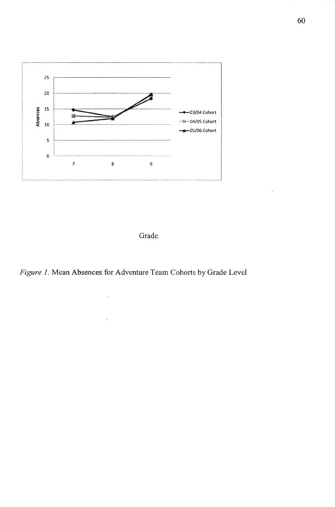



*Figure* 1. Mean Absences for Adventure Team Cohorts by Grade Level